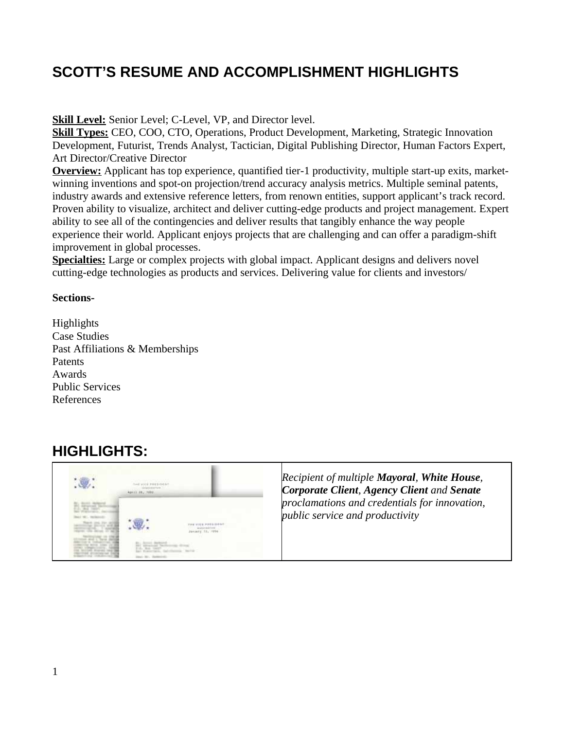# **SCOTT'S RESUME AND ACCOMPLISHMENT HIGHLIGHTS**

**Skill Level:** Senior Level; C-Level, VP, and Director level.

**Skill Types:** CEO, COO, CTO, Operations, Product Development, Marketing, Strategic Innovation Development, Futurist, Trends Analyst, Tactician, Digital Publishing Director, Human Factors Expert, Art Director/Creative Director

**Overview:** Applicant has top experience, quantified tier-1 productivity, multiple start-up exits, marketwinning inventions and spot-on projection/trend accuracy analysis metrics. Multiple seminal patents, industry awards and extensive reference letters, from renown entities, support applicant's track record. Proven ability to visualize, architect and deliver cutting-edge products and project management*.* Expert ability to see all of the contingencies and deliver results that tangibly enhance the way people experience their world. Applicant enjoys projects that are challenging and can offer a paradigm-shift improvement in global processes.

**Specialties:** Large or complex projects with global impact. Applicant designs and delivers novel cutting-edge technologies as products and services. Delivering value for clients and investors/

### **Sections-**

Highlights Case Studies Past Affiliations & Memberships **Patents** Awards Public Services References

# **HIGHLIGHTS:**

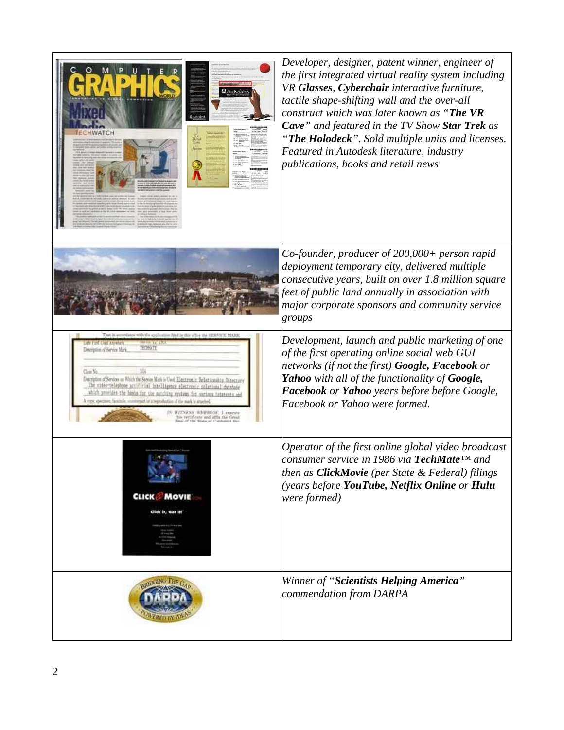| <b>A</b> utodes                                                                                                                                                                                                                                                                                                                                                                                                                                                                                             | Developer, designer, patent winner, engineer of<br>the first integrated virtual reality system including<br>VR Glasses, Cyberchair interactive furniture,<br>tactile shape-shifting wall and the over-all<br>construct which was later known as " <b>The VR</b><br>Cave" and featured in the TV Show Star Trek as<br>"The Holodeck". Sold multiple units and licenses.<br>Featured in Autodesk literature, industry<br>publications, books and retail news |
|-------------------------------------------------------------------------------------------------------------------------------------------------------------------------------------------------------------------------------------------------------------------------------------------------------------------------------------------------------------------------------------------------------------------------------------------------------------------------------------------------------------|------------------------------------------------------------------------------------------------------------------------------------------------------------------------------------------------------------------------------------------------------------------------------------------------------------------------------------------------------------------------------------------------------------------------------------------------------------|
|                                                                                                                                                                                                                                                                                                                                                                                                                                                                                                             | Co-founder, producer of 200,000+ person rapid<br>deployment temporary city, delivered multiple<br>consecutive years, built on over 1.8 million square<br>feet of public land annually in association with<br>major corporate sponsors and community service<br>groups                                                                                                                                                                                      |
| ance with the application fred in this office the EERVI<br><b>2YE UNIS ASSEMI</b><br>Description of Service Mark<br>Description of Services on Which the Service Mark is Used Elect run in Relationship Diverses<br>The tiddoctalephone accilinial intelligence electronic relational databa<br>which provides the basis for the autobing eystwas for various interests and<br>opy, eyemve, farsmile, rombreach or a reproduction of the mark is attached<br><b>WHEREOF</b><br>lificate and affix the Great | Development, launch and public marketing of one<br>of the first operating online social web GUI<br>networks (if not the first) <b>Google, Facebook</b> or<br><b>Yahoo</b> with all of the functionality of <b>Google</b> ,<br>Facebook or Yahoo years before before Google,<br>Facebook or Yahoo were formed.                                                                                                                                              |
| <b>CLICK MOVIE</b><br>Cick it, Get it!                                                                                                                                                                                                                                                                                                                                                                                                                                                                      | Operator of the first online global video broadcast<br>consumer service in 1986 via <b>TechMate</b> ™ and<br>then as <b>ClickMovie</b> (per State & Federal) filings<br>(years before YouTube, Netflix Online or Hulu<br>were formed)                                                                                                                                                                                                                      |
|                                                                                                                                                                                                                                                                                                                                                                                                                                                                                                             | Winner of "Scientists Helping America"<br>commendation from DARPA                                                                                                                                                                                                                                                                                                                                                                                          |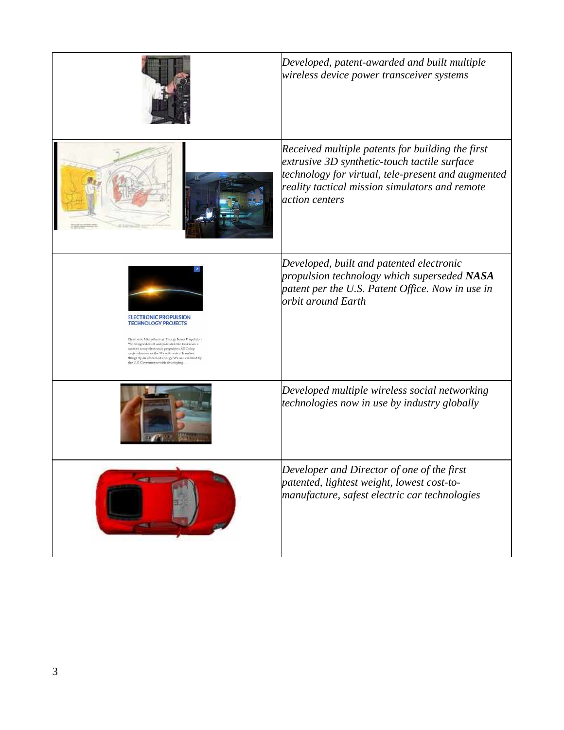|                                                                                                                                                                                                                                                                                                                                                               | Developed, patent-awarded and built multiple<br>wireless device power transceiver systems                                                                                                                                  |
|---------------------------------------------------------------------------------------------------------------------------------------------------------------------------------------------------------------------------------------------------------------------------------------------------------------------------------------------------------------|----------------------------------------------------------------------------------------------------------------------------------------------------------------------------------------------------------------------------|
|                                                                                                                                                                                                                                                                                                                                                               | Received multiple patents for building the first<br>extrusive 3D synthetic-touch tactile surface<br>technology for virtual, tele-present and augmented<br>reality tactical mission simulators and remote<br>action centers |
| <b>ELECTRONIC PROPULSION</b><br><b>TECHNOLOGY PROJECTS</b><br>Electronic Microthruster Energy Beam Propulsion<br>We designed, built and patented the first known<br>massed array electronic propulsion ASIC chip<br>system known as the Microthruster. It makes<br>things fly on a beam of energy. We are credited by<br>the U.S. Government with developing. | Developed, built and patented electronic<br>propulsion technology which superseded NASA<br>patent per the U.S. Patent Office. Now in use in<br>orbit around Earth                                                          |
|                                                                                                                                                                                                                                                                                                                                                               | Developed multiple wireless social networking<br>technologies now in use by industry globally                                                                                                                              |
|                                                                                                                                                                                                                                                                                                                                                               | Developer and Director of one of the first<br>patented, lightest weight, lowest cost-to-<br>manufacture, safest electric car technologies                                                                                  |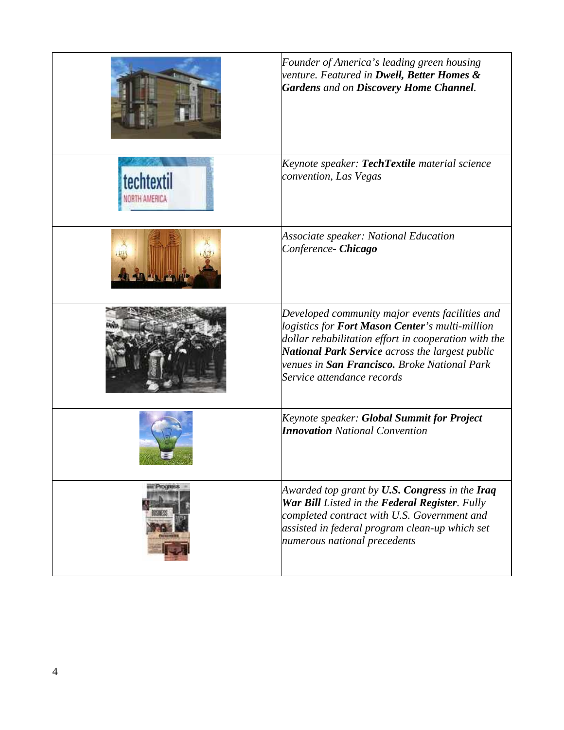|                             | Founder of America's leading green housing<br>venture. Featured in <b>Dwell, Better Homes &amp;</b><br><b>Gardens and on Discovery Home Channel.</b>                                                                                                                                               |
|-----------------------------|----------------------------------------------------------------------------------------------------------------------------------------------------------------------------------------------------------------------------------------------------------------------------------------------------|
| <b>rechtex</b><br>TH AMERIC | Keynote speaker: TechTextile material science<br>convention, Las Vegas                                                                                                                                                                                                                             |
|                             | Associate speaker: National Education<br>Conference- Chicago                                                                                                                                                                                                                                       |
|                             | Developed community major events facilities and<br>logistics for Fort Mason Center's multi-million<br>dollar rehabilitation effort in cooperation with the<br>National Park Service across the largest public<br>venues in <b>San Francisco.</b> Broke National Park<br>Service attendance records |
|                             | Keynote speaker: Global Summit for Project<br><b>Innovation</b> National Convention                                                                                                                                                                                                                |
| Progress                    | Awarded top grant by U.S. Congress in the Iraq<br>War Bill Listed in the Federal Register. Fully<br>completed contract with U.S. Government and<br>assisted in federal program clean-up which set<br>numerous national precedents                                                                  |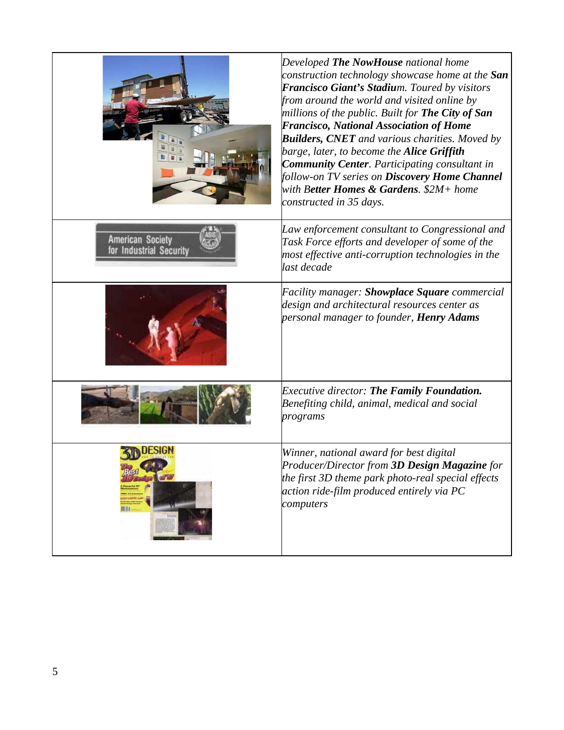|                                                    | Developed The NowHouse national home<br>construction technology showcase home at the San<br>Francisco Giant's Stadium. Toured by visitors<br>from around the world and visited online by<br>millions of the public. Built for The City of San<br><b>Francisco, National Association of Home</b><br><b>Builders, CNET</b> and various charities. Moved by<br>barge, later, to become the Alice Griffith<br><b>Community Center.</b> Participating consultant in<br>follow-on TV series on Discovery Home Channel<br>with B <b>etter Homes &amp; Gardens.</b> \$2M+ home<br>constructed in 35 days. |
|----------------------------------------------------|---------------------------------------------------------------------------------------------------------------------------------------------------------------------------------------------------------------------------------------------------------------------------------------------------------------------------------------------------------------------------------------------------------------------------------------------------------------------------------------------------------------------------------------------------------------------------------------------------|
| <b>American Society</b><br>for Industrial Security | Law enforcement consultant to Congressional and<br>Task Force efforts and developer of some of the<br>most effective anti-corruption technologies in the<br>last decade                                                                                                                                                                                                                                                                                                                                                                                                                           |
|                                                    | Facility manager: <b>Showplace Square</b> commercial<br>design and architectural resources center as<br>personal manager to founder, <b>Henry Adams</b>                                                                                                                                                                                                                                                                                                                                                                                                                                           |
|                                                    | <b>Executive director: The Family Foundation.</b><br>Benefiting child, animal, medical and social<br>programs                                                                                                                                                                                                                                                                                                                                                                                                                                                                                     |
| 81                                                 | Winner, national award for best digital<br>Producer/Director from 3 <b>D Design Magazine</b> for<br>the first 3D theme park photo-real special effects<br>action ride-film produced entirely via PC<br>computers                                                                                                                                                                                                                                                                                                                                                                                  |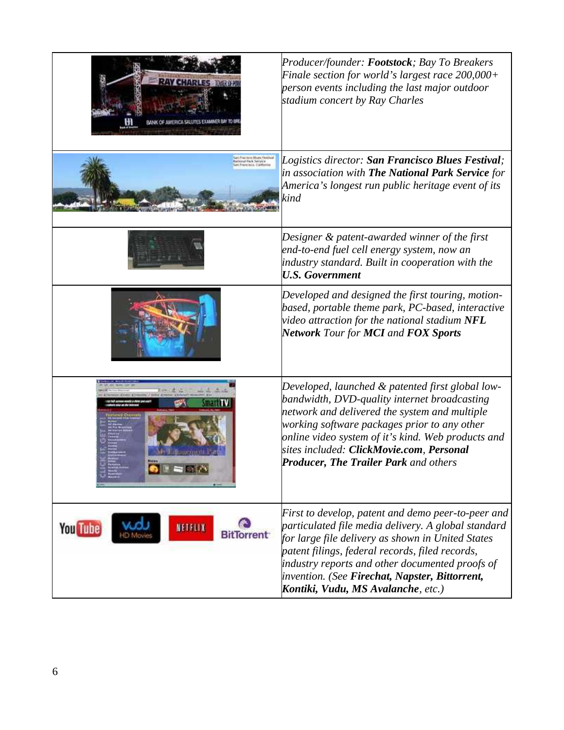|                                                 | Producer/founder: Footstock; Bay To Breakers<br>Finale section for world's largest race 200,000+<br>person events including the last major outdoor<br>stadium concert by Ray Charles                                                                                                                                                                         |
|-------------------------------------------------|--------------------------------------------------------------------------------------------------------------------------------------------------------------------------------------------------------------------------------------------------------------------------------------------------------------------------------------------------------------|
| ul Fack Service                                 | Logistics director: San Francisco Blues Festival;<br>in association with The National Park Service for<br>America's longest run public heritage event of its<br>kind                                                                                                                                                                                         |
|                                                 | Designer & patent-awarded winner of the first<br>end-to-end fuel cell energy system, now an<br>industry standard. Built in cooperation with the<br><b>U.S. Government</b>                                                                                                                                                                                    |
|                                                 | Developed and designed the first touring, motion-<br>based, portable theme park, PC-based, interactive<br>video attraction for the national stadium $NFL$<br><b>Network Tour for MCI and FOX Sports</b>                                                                                                                                                      |
|                                                 | Developed, launched & patented first global low-<br>bandwidth, DVD-quality internet broadcasting<br>network and delivered the system and multiple<br>working software packages prior to any other $\,$<br>online video system of it's kind. Web products and<br>sites included: <b>ClickMovie.com, Personal</b><br>Producer, The Trailer Park and others     |
| <b>You Tube</b><br>NETFLIX<br><b>BitTorrent</b> | First to develop, patent and demo peer-to-peer and<br>particulated file media delivery. A global standard<br>for large file delivery as shown in United States<br>patent filings, federal records, filed records,<br>industry reports and other documented proofs of<br>invention. (See Firechat, Napster, Bittorrent,<br>Kontiki, Vudu, MS Avalanche, etc.) |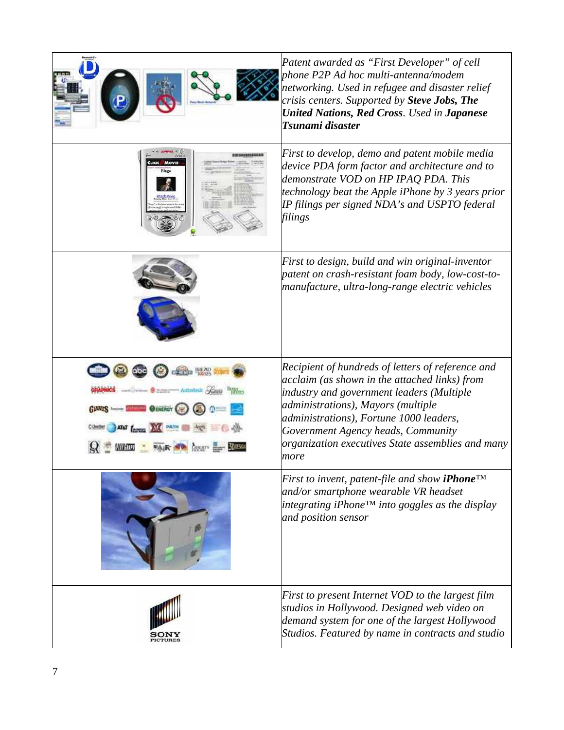|                                                                           | Patent awarded as "First Developer" of cell<br>phone P2P Ad hoc multi-antenna/modem<br>networking. Used in refugee and disaster relief<br>crisis centers. Supported by Steve Jobs, The<br><b>United Nations, Red Cross. Used in Japanese</b><br>Tsunami disaster                                                                    |
|---------------------------------------------------------------------------|-------------------------------------------------------------------------------------------------------------------------------------------------------------------------------------------------------------------------------------------------------------------------------------------------------------------------------------|
|                                                                           | First to develop, demo and patent mobile media<br>device PDA form factor and architecture and to<br>demonstrate VOD on HP IPAQ PDA. This<br>technology beat the Apple iPhone by 3 years prior<br>IP filings per signed NDA's and USPTO federal<br>filings                                                                           |
|                                                                           | First to design, build and win original-inventor<br>patent on crash-resistant foam body, low-cost-to-<br>manufacture, ultra-long-range electric vehicles                                                                                                                                                                            |
| near of the Company<br>- Autodesk<br>GIANTS SHOW HOLES<br>GENERGY<br>PATH | Recipient of hundreds of letters of reference and<br>acclaim (as shown in the attached links) from<br>industry and government leaders (Multiple<br>administrations), Mayors (multiple<br>administrations), Fortune 1000 leaders,<br>Government Agency heads, Community<br>organization executives State assemblies and many<br>more |
|                                                                           | First to invent, patent-file and show <b>iPhone</b> <sup>TM</sup><br>and/or smartphone wearable VR headset<br>$ $ integrating iPhone™ into goggles as the display<br>and position sensor                                                                                                                                            |
|                                                                           | First to present Internet VOD to the largest film<br>studios in Hollywood. Designed web video on<br>demand system for one of the largest Hollywood<br>Studios. Featured by name in contracts and studio                                                                                                                             |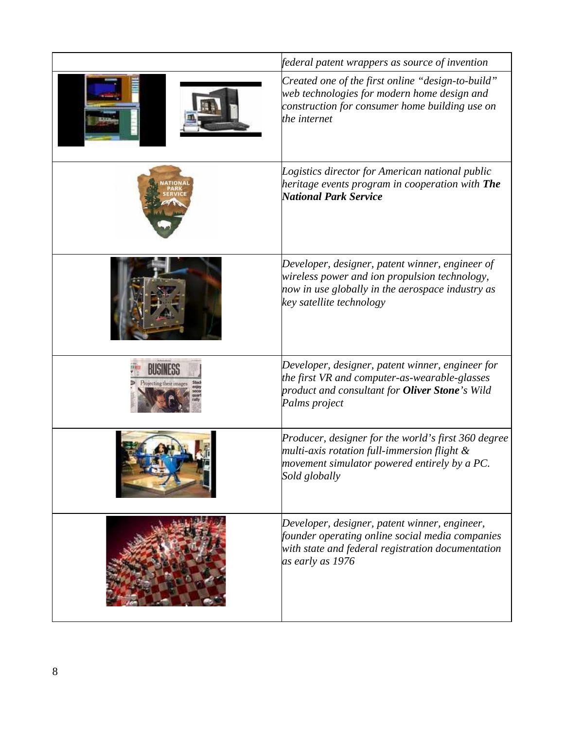|                                     | federal patent wrappers as source of invention                                                                                                                                                     |
|-------------------------------------|----------------------------------------------------------------------------------------------------------------------------------------------------------------------------------------------------|
|                                     | Created one of the first online "design-to-build"<br>web technologies for modern home design and<br>construction for consumer home building use on<br>the internet                                 |
|                                     | Logistics director for American national public<br>heritage events program in cooperation with <b>The</b><br>National Park Service                                                                 |
|                                     | Developer, designer, patent winner, engineer of<br>wireless power and ion propulsion technology,<br>now in use globally in the aerospace industry as<br>key satellite technology                   |
| HUSINESS<br>Projecting their images | Developer, designer, patent winner, engineer for<br>the first VR and computer-as-wearable-glasses<br>product and consultant for <b>Oliver Stone</b> 's Wild<br>Palms project                       |
|                                     | Producer, designer for the world's first 360 degree<br>multi-axis rotation full-immersion flight $\&$<br>movement simulator powered entirely by a PC.<br>Sold globally                             |
|                                     | Developer, designer, patent winner, engineer,<br>founder operating online social media companies<br>with state and federal registration documentation $\overline{\phantom{a}}$<br>as early as 1976 |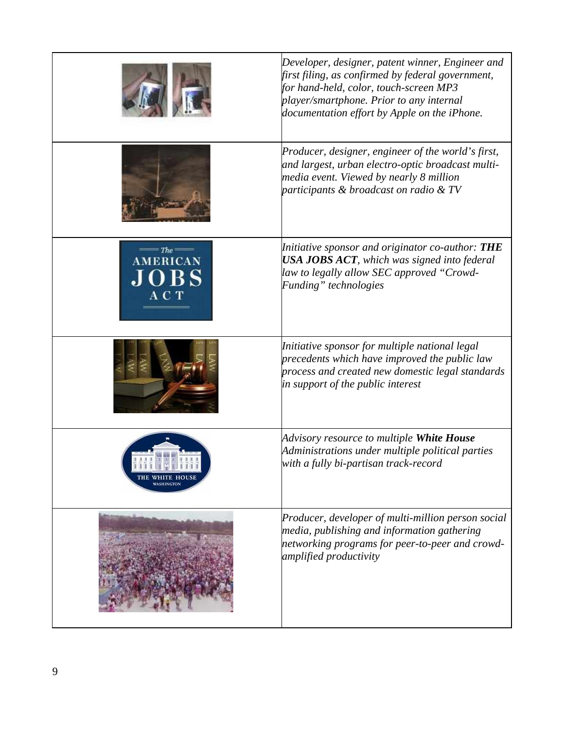|                                          | Developer, designer, patent winner, Engineer and<br>first filing, as confirmed by federal government,<br>for hand-held, color, touch-screen MP3<br>player/smartphone. Prior to any internal<br>documentation effort by Apple on the iPhone. |
|------------------------------------------|---------------------------------------------------------------------------------------------------------------------------------------------------------------------------------------------------------------------------------------------|
|                                          | Producer, designer, engineer of the world's first,<br>and largest, urban electro-optic broadcast multi-<br>media event. Viewed by nearly 8 million<br>participants $\&$ broadcast on radio $\&$ TV                                          |
| $The =$<br><b>AMERICAN</b><br>OBS<br>АСТ | Initiative sponsor and originator co-author: THE<br><b>USA JOBS ACT</b> , which was signed into federal<br>law to legally allow SEC approved "Crowd-<br>Funding" technologies                                                               |
|                                          | Initiative sponsor for multiple national legal<br>precedents which have improved the public law<br>process and created new domestic legal standards<br>in support of the public interest                                                    |
|                                          | Advisory resource to multiple White House<br>Administrations under multiple political parties<br>with a fully bi-partisan track-record                                                                                                      |
|                                          | Producer, developer of multi-million person social<br>media, publishing and information gathering<br>networking programs for peer-to-peer and crowd-<br>amplified productivity                                                              |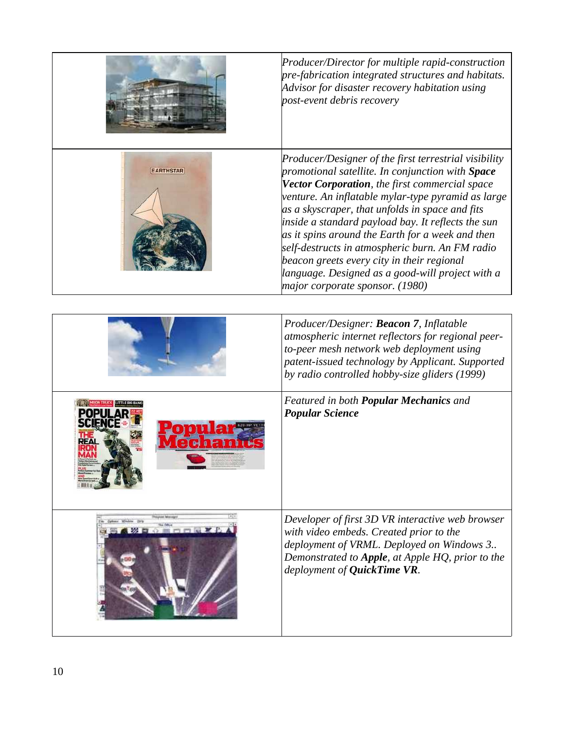|                  | Producer/Director for multiple rapid-construction<br>pre-fabrication integrated structures and habitats.<br>Advisor for disaster recovery habitation using<br>post-event debris recovery                                                                                                                                                                                                                                                                                                                                                                               |
|------------------|------------------------------------------------------------------------------------------------------------------------------------------------------------------------------------------------------------------------------------------------------------------------------------------------------------------------------------------------------------------------------------------------------------------------------------------------------------------------------------------------------------------------------------------------------------------------|
| <b>EARTHSTAR</b> | Producer/Designer of the first terrestrial visibility<br>promotional satellite. In conjunction with Space<br>Vector Corporation, the first commercial space<br>venture. An inflatable mylar-type pyramid as large<br>as a skyscraper, that unfolds in space and fits<br>inside a standard payload bay. It reflects the sun<br>as it spins around the Earth for a week and then<br>self-destructs in atmospheric burn. An FM radio<br>beacon greets every city in their regional<br>language. Designed as a good-will project with a<br>major corporate sponsor. (1980) |
|                  | Producer/Designer: Beacon 7, Inflatable<br>atmospheric internet reflectors for regional peer-<br>to-peer mesh network web deployment using<br>patent-issued technology by Applicant. Supported<br>by radio controlled hobby-size gliders (1999)                                                                                                                                                                                                                                                                                                                        |
|                  | Featured in both Popular Mechanics and<br><b>Popular Science</b>                                                                                                                                                                                                                                                                                                                                                                                                                                                                                                       |
|                  | Developer of first 3D VR interactive web browser<br>with video embeds. Created prior to the<br>deployment of VRML. Deployed on Windows 3<br>Demonstrated to Apple, at Apple HQ, prior to the<br>deployment of QuickTime VR.                                                                                                                                                                                                                                                                                                                                            |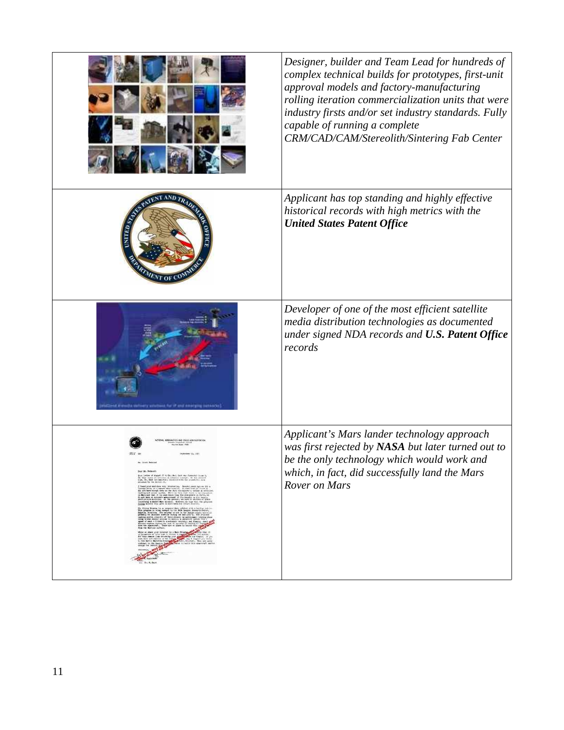| Designer, builder and Team Lead for hundreds of<br>complex technical builds for prototypes, first-unit<br>approval models and factory-manufacturing<br>rolling iteration commercialization units that were<br>industry firsts and/or set industry standards. Fully<br>capable of running a complete<br>CRM/CAD/CAM/Stereolith/Sintering Fab Center |
|----------------------------------------------------------------------------------------------------------------------------------------------------------------------------------------------------------------------------------------------------------------------------------------------------------------------------------------------------|
| Applicant has top standing and highly effective<br>historical records with high metrics with the<br><b>United States Patent Office</b>                                                                                                                                                                                                             |
| Developer of one of the most efficient satellite<br>media distribution technologies as documented<br>under signed NDA records and U.S. Patent Office<br>records                                                                                                                                                                                    |
| Applicant's Mars lander technology approach<br>was first rejected by NASA but later turned out to<br>be the only technology which would work and<br>which, in fact, did successfully land the Mars<br>Rover on Mars                                                                                                                                |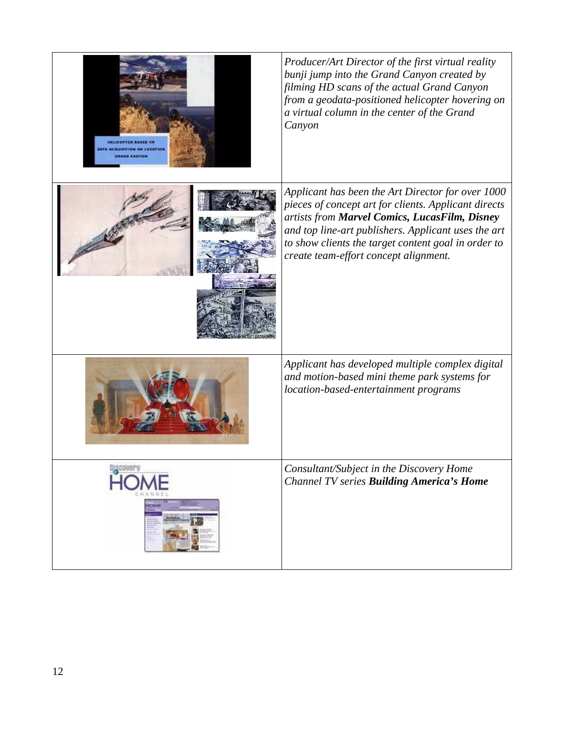| <b>HELICOPTER BASED VA</b><br><b>ATA ACQUISITION AN LOCATION</b><br><b>IRAND CANYON</b> | Producer/Art Director of the first virtual reality<br>bunji jump into the Grand Canyon created by<br>filming HD scans of the actual Grand Canyon<br>from a geodata-positioned helicopter hovering on<br>a virtual column in the center of the Grand<br>Canyon                                                     |
|-----------------------------------------------------------------------------------------|-------------------------------------------------------------------------------------------------------------------------------------------------------------------------------------------------------------------------------------------------------------------------------------------------------------------|
|                                                                                         | Applicant has been the Art Director for over 1000<br>pieces of concept art for clients. Applicant directs<br>artists from Marvel Comics, LucasFilm, Disney<br>and top line-art publishers. Applicant uses the art<br>to show clients the target content goal in order to<br>create team-effort concept alignment. |
|                                                                                         | Applicant has developed multiple complex digital<br>and motion-based mini theme park systems for<br>location-based-entertainment programs                                                                                                                                                                         |
|                                                                                         | Consultant/Subject in the Discovery Home<br><b>Channel TV series Building America's Home</b>                                                                                                                                                                                                                      |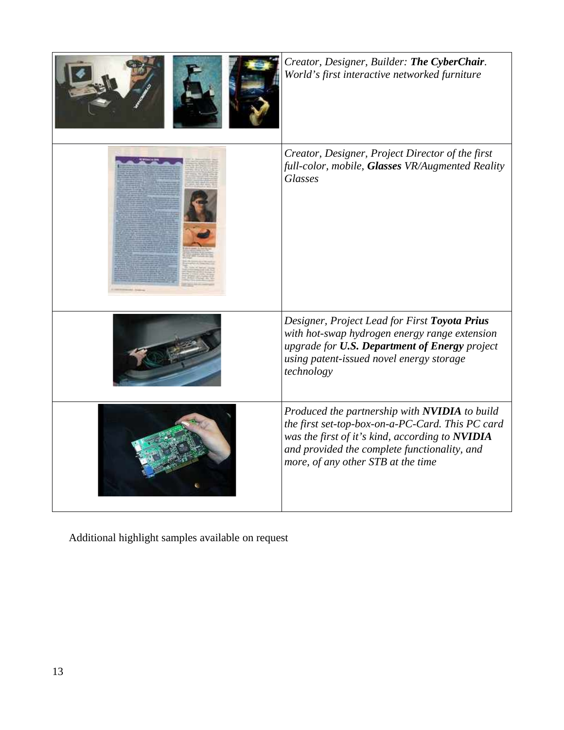| Creator, Designer, Builder: The CyberChair.<br>World's first interactive networked furniture                                                                                                                                               |
|--------------------------------------------------------------------------------------------------------------------------------------------------------------------------------------------------------------------------------------------|
| Creator, Designer, Project Director of the first<br>full-color, mobile, Glasses VR/Augmented Reality<br><b>Glasses</b>                                                                                                                     |
| Designer, Project Lead for First Toyota Prius<br>with hot-swap hydrogen energy range extension<br>upgrade for U.S. Department of Energy project<br>using patent-issued novel energy storage<br>technology                                  |
| Produced the partnership with NVIDIA to build<br>the first set-top-box-on-a-PC-Card. This PC card<br>was the first of it's kind, according to NVIDIA<br>and provided the complete functionality, and<br>more, of any other STB at the time |

Additional highlight samples available on request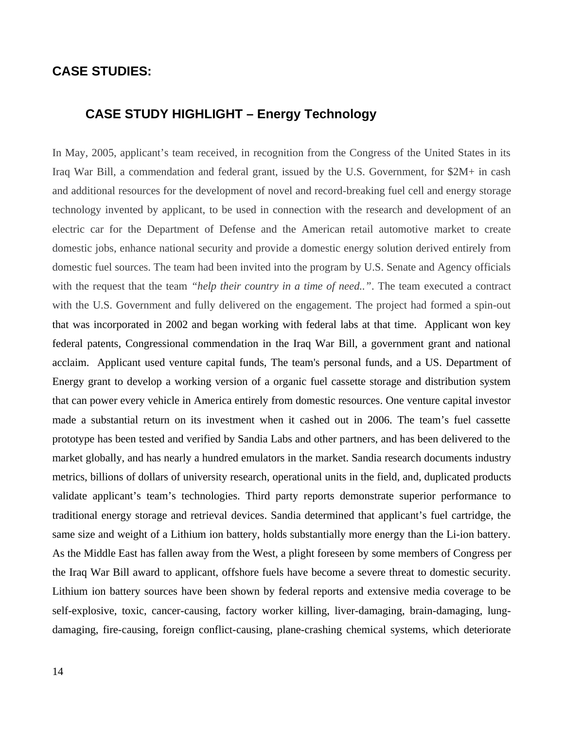### **CASE STUDIES:**

## **CASE STUDY HIGHLIGHT – Energy Technology**

In May, 2005, applicant's team received, in recognition from the Congress of the United States in its Iraq War Bill, a commendation and federal grant, issued by the U.S. Government, for \$2M+ in cash and additional resources for the development of novel and record-breaking fuel cell and energy storage technology invented by applicant, to be used in connection with the research and development of an electric car for the Department of Defense and the American retail automotive market to create domestic jobs, enhance national security and provide a domestic energy solution derived entirely from domestic fuel sources. The team had been invited into the program by U.S. Senate and Agency officials with the request that the team *"help their country in a time of need.."*. The team executed a contract with the U.S. Government and fully delivered on the engagement. The project had formed a spin-out that was incorporated in 2002 and began working with federal labs at that time. Applicant won key federal patents, Congressional commendation in the Iraq War Bill, a government grant and national acclaim. Applicant used venture capital funds, The team's personal funds, and a US. Department of Energy grant to develop a working version of a organic fuel cassette storage and distribution system that can power every vehicle in America entirely from domestic resources. One venture capital investor made a substantial return on its investment when it cashed out in 2006. The team's fuel cassette prototype has been tested and verified by Sandia Labs and other partners, and has been delivered to the market globally, and has nearly a hundred emulators in the market. Sandia research documents industry metrics, billions of dollars of university research, operational units in the field, and, duplicated products validate applicant's team's technologies. Third party reports demonstrate superior performance to traditional energy storage and retrieval devices. Sandia determined that applicant's fuel cartridge, the same size and weight of a Lithium ion battery, holds substantially more energy than the Li-ion battery. As the Middle East has fallen away from the West, a plight foreseen by some members of Congress per the Iraq War Bill award to applicant, offshore fuels have become a severe threat to domestic security. Lithium ion battery sources have been shown by federal reports and extensive media coverage to be self-explosive, toxic, cancer-causing, factory worker killing, liver-damaging, brain-damaging, lungdamaging, fire-causing, foreign conflict-causing, plane-crashing chemical systems, which deteriorate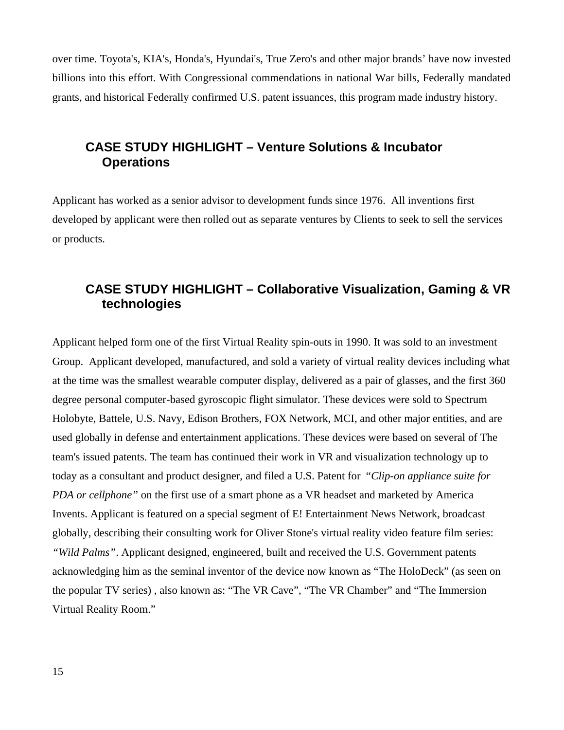over time. Toyota's, KIA's, Honda's, Hyundai's, True Zero's and other major brands' have now invested billions into this effort. With Congressional commendations in national War bills, Federally mandated grants, and historical Federally confirmed U.S. patent issuances, this program made industry history.

## **CASE STUDY HIGHLIGHT – Venture Solutions & Incubator Operations**

Applicant has worked as a senior advisor to development funds since 1976. All inventions first developed by applicant were then rolled out as separate ventures by Clients to seek to sell the services or products.

## **CASE STUDY HIGHLIGHT – Collaborative Visualization, Gaming & VR technologies**

Applicant helped form one of the first Virtual Reality spin-outs in 1990. It was sold to an investment Group. Applicant developed, manufactured, and sold a variety of virtual reality devices including what at the time was the smallest wearable computer display, delivered as a pair of glasses, and the first 360 degree personal computer-based gyroscopic flight simulator. These devices were sold to Spectrum Holobyte, Battele, U.S. Navy, Edison Brothers, FOX Network, MCI, and other major entities, and are used globally in defense and entertainment applications. These devices were based on several of The team's issued patents. The team has continued their work in VR and visualization technology up to today as a consultant and product designer, and filed a U.S. Patent for "*Clip-on appliance suite for PDA or cellphone"* on the first use of a smart phone as a VR headset and marketed by America Invents. Applicant is featured on a special segment of E! Entertainment News Network, broadcast globally, describing their consulting work for Oliver Stone's virtual reality video feature film series: *"Wild Palms"*. Applicant designed, engineered, built and received the U.S. Government patents acknowledging him as the seminal inventor of the device now known as "The HoloDeck" (as seen on the popular TV series) , also known as: "The VR Cave", "The VR Chamber" and "The Immersion Virtual Reality Room."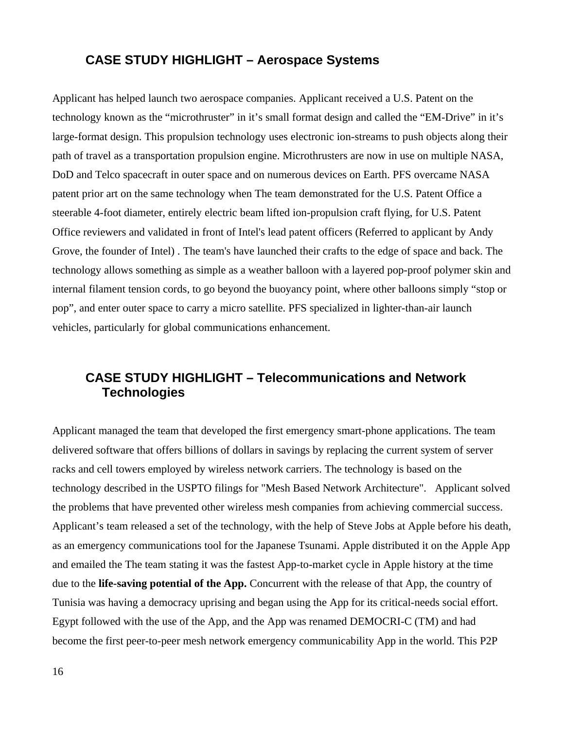## **CASE STUDY HIGHLIGHT – Aerospace Systems**

Applicant has helped launch two aerospace companies. Applicant received a U.S. Patent on the technology known as the "microthruster" in it's small format design and called the "EM-Drive" in it's large-format design. This propulsion technology uses electronic ion-streams to push objects along their path of travel as a transportation propulsion engine. Microthrusters are now in use on multiple NASA, DoD and Telco spacecraft in outer space and on numerous devices on Earth. PFS overcame NASA patent prior art on the same technology when The team demonstrated for the U.S. Patent Office a steerable 4-foot diameter, entirely electric beam lifted ion-propulsion craft flying, for U.S. Patent Office reviewers and validated in front of Intel's lead patent officers (Referred to applicant by Andy Grove, the founder of Intel) . The team's have launched their crafts to the edge of space and back. The technology allows something as simple as a weather balloon with a layered pop-proof polymer skin and internal filament tension cords, to go beyond the buoyancy point, where other balloons simply "stop or pop", and enter outer space to carry a micro satellite. PFS specialized in lighter-than-air launch vehicles, particularly for global communications enhancement.

## **CASE STUDY HIGHLIGHT – Telecommunications and Network Technologies**

Applicant managed the team that developed the first emergency smart-phone applications. The team delivered software that offers billions of dollars in savings by replacing the current system of server racks and cell towers employed by wireless network carriers. The technology is based on the technology described in the USPTO filings for "Mesh Based Network Architecture". Applicant solved the problems that have prevented other wireless mesh companies from achieving commercial success. Applicant's team released a set of the technology, with the help of Steve Jobs at Apple before his death, as an emergency communications tool for the Japanese Tsunami. Apple distributed it on the Apple App and emailed the The team stating it was the fastest App-to-market cycle in Apple history at the time due to the **life-saving potential of the App.** Concurrent with the release of that App, the country of Tunisia was having a democracy uprising and began using the App for its critical-needs social effort. Egypt followed with the use of the App, and the App was renamed DEMOCRI-C (TM) and had become the first peer-to-peer mesh network emergency communicability App in the world. This P2P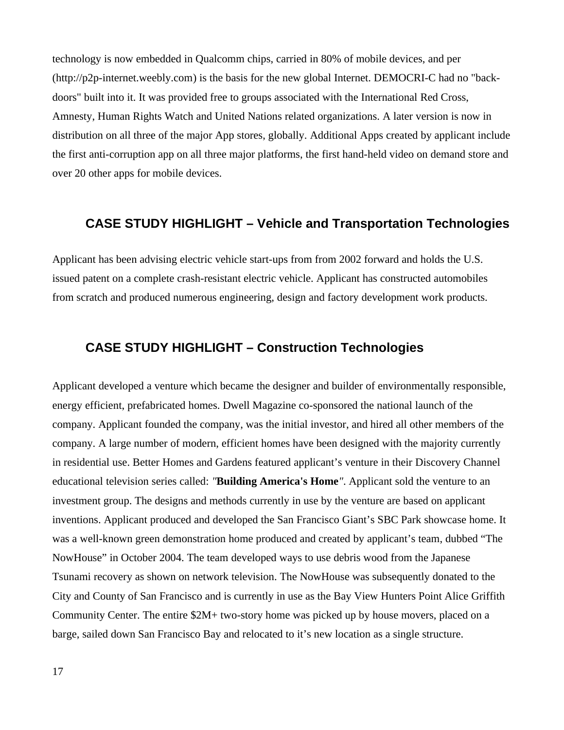technology is now embedded in Qualcomm chips, carried in 80% of mobile devices, and per ([http://p2p-internet.weebly.com](http://p2p-internet.weebly.com/)) is the basis for the new global Internet. DEMOCRI-C had no "backdoors" built into it. It was provided free to groups associated with the International Red Cross, Amnesty, Human Rights Watch and United Nations related organizations. A later version is now in distribution on all three of the major App stores, globally. Additional Apps created by applicant include the first anti-corruption app on all three major platforms, the first hand-held video on demand store and over 20 other apps for mobile devices.

## **CASE STUDY HIGHLIGHT – Vehicle and Transportation Technologies**

Applicant has been advising electric vehicle start-ups from from 2002 forward and holds the U.S. issued patent on a complete crash-resistant electric vehicle. Applicant has constructed automobiles from scratch and produced numerous engineering, design and factory development work products.

## **CASE STUDY HIGHLIGHT – Construction Technologies**

Applicant developed a venture which became the designer and builder of environmentally responsible, energy efficient, prefabricated homes. Dwell Magazine co-sponsored the national launch of the company. Applicant founded the company, was the initial investor, and hired all other members of the company. A large number of modern, efficient homes have been designed with the majority currently in residential use. Better Homes and Gardens featured applicant's venture in their Discovery Channel educational television series called: *"***Building America's Home***"*. Applicant sold the venture to an investment group. The designs and methods currently in use by the venture are based on applicant inventions. Applicant produced and developed the San Francisco Giant's SBC Park showcase home. It was a well-known green demonstration home produced and created by applicant's team, dubbed "The NowHouse" in October 2004. The team developed ways to use debris wood from the Japanese Tsunami recovery as shown on network television. The NowHouse was subsequently donated to the City and County of San Francisco and is currently in use as the Bay View Hunters Point Alice Griffith Community Center. The entire \$2M+ two-story home was picked up by house movers, placed on a barge, sailed down San Francisco Bay and relocated to it's new location as a single structure.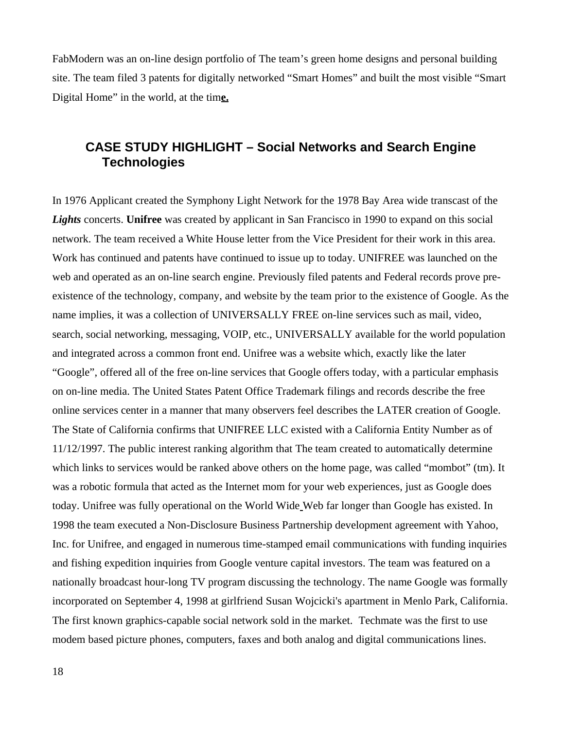FabModern was an on-line design portfolio of The team's green home designs and personal building site. The team filed 3 patents for digitally networked "Smart Homes" and built the most visible "Smart Digital Home" in the world, at the tim**e.**

## **CASE STUDY HIGHLIGHT – Social Networks and Search Engine Technologies**

In 1976 Applicant created the Symphony Light Network for the 1978 Bay Area wide transcast of the *Lights* concerts. **Unifree** was created by applicant in San Francisco in 1990 to expand on this social network. The team received a White House letter from the Vice President for their work in this area. Work has continued and patents have continued to issue up to today. UNIFREE was launched on the web and operated as an on-line search engine. Previously filed patents and Federal records prove preexistence of the technology, company, and website by the team prior to the existence of Google. As the name implies, it was a collection of UNIVERSALLY FREE on-line services such as mail, video, search, social networking, messaging, VOIP, etc., UNIVERSALLY available for the world population and integrated across a common front end. Unifree was a website which, exactly like the later "Google", offered all of the free on-line services that Google offers today, with a particular emphasis on on-line media. The United States Patent Office Trademark filings and records describe the free online services center in a manner that many observers feel describes the LATER creation of Google. The State of California confirms that UNIFREE LLC existed with a California Entity Number as of 11/12/1997. The public interest ranking algorithm that The team created to automatically determine which links to services would be ranked above others on the home page, was called "mombot" (tm). It was a robotic formula that acted as the Internet mom for your web experiences, just as Google does today. Unifree was fully operational on the World Wide Web far longer than Google has existed. In 1998 the team executed a Non-Disclosure Business Partnership development agreement with Yahoo, Inc. for Unifree, and engaged in numerous time-stamped email communications with funding inquiries and fishing expedition inquiries from Google venture capital investors. The team was featured on a nationally broadcast hour-long TV program discussing the technology. The name Google was formally incorporated on September 4, 1998 at girlfriend [Susan Wojcicki](https://en.wikipedia.org/wiki/Susan_Wojcicki)'s apartment in [Menlo Park, California.](https://en.wikipedia.org/wiki/Menlo_Park,_California) The first known graphics-capable social network sold in the market. Techmate was the first to use modem based picture phones, computers, faxes and both analog and digital communications lines.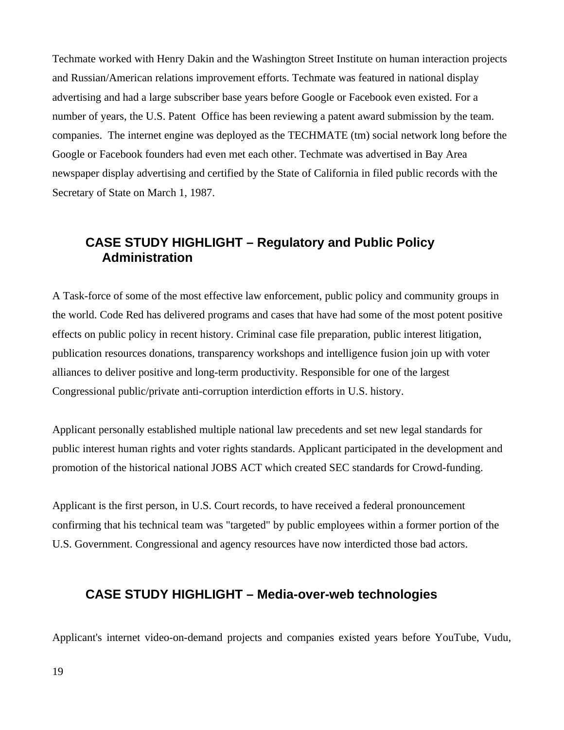Techmate worked with Henry Dakin and the Washington Street Institute on human interaction projects and Russian/American relations improvement efforts. Techmate was featured in national display advertising and had a large subscriber base years before Google or Facebook even existed. For a number of years, the U.S. Patent Office has been reviewing a patent award submission by the team. companies. The internet engine was deployed as the TECHMATE (tm) social network long before the Google or Facebook founders had even met each other. Techmate was advertised in Bay Area newspaper display advertising and certified by the State of California in filed public records with the Secretary of State on March 1, 1987.

## **CASE STUDY HIGHLIGHT – Regulatory and Public Policy Administration**

A Task-force of some of the most effective law enforcement, public policy and community groups in the world. Code Red has delivered programs and cases that have had some of the most potent positive effects on public policy in recent history. Criminal case file preparation, public interest litigation, publication resources donations, transparency workshops and intelligence fusion join up with voter alliances to deliver positive and long-term productivity. Responsible for one of the largest Congressional public/private anti-corruption interdiction efforts in U.S. history.

Applicant personally established multiple national law precedents and set new legal standards for public interest human rights and voter rights standards. Applicant participated in the development and promotion of the historical national JOBS ACT which created SEC standards for Crowd-funding.

Applicant is the first person, in U.S. Court records, to have received a federal pronouncement confirming that his technical team was "targeted" by public employees within a former portion of the U.S. Government. Congressional and agency resources have now interdicted those bad actors.

## **CASE STUDY HIGHLIGHT – Media-over-web technologies**

Applicant's internet video-on-demand projects and companies existed years before YouTube, Vudu,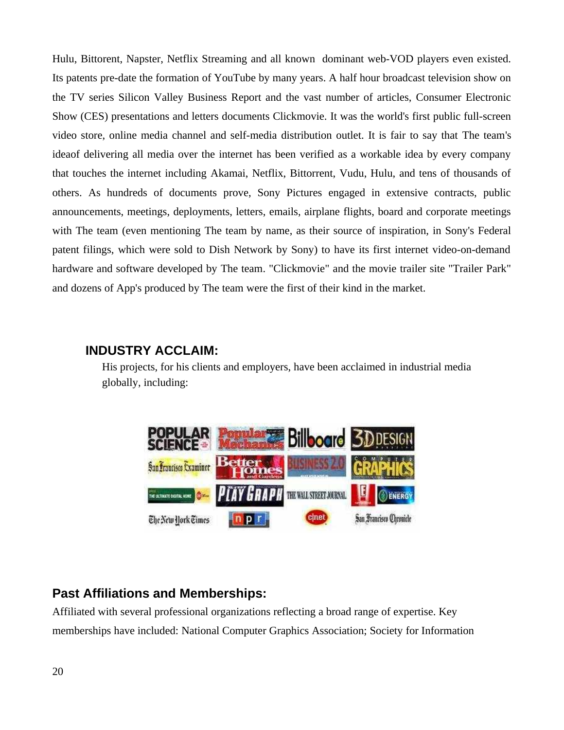Hulu, Bittorent, Napster, Netflix Streaming and all known dominant web-VOD players even existed. Its patents pre-date the formation of YouTube by many years. A half hour broadcast television show on the TV series Silicon Valley Business Report and the vast number of articles, Consumer Electronic Show (CES) presentations and letters documents Clickmovie. It was the world's first public full-screen video store, online media channel and self-media distribution outlet. It is fair to say that The team's ideaof delivering all media over the internet has been verified as a workable idea by every company that touches the internet including Akamai, Netflix, Bittorrent, Vudu, Hulu, and tens of thousands of others. As hundreds of documents prove, Sony Pictures engaged in extensive contracts, public announcements, meetings, deployments, letters, emails, airplane flights, board and corporate meetings with The team (even mentioning The team by name, as their source of inspiration, in Sony's Federal patent filings, which were sold to Dish Network by Sony) to have its first internet video-on-demand hardware and software developed by The team. "Clickmovie" and the movie trailer site "Trailer Park" and dozens of App's produced by The team were the first of their kind in the market.

## **INDUSTRY ACCLAIM:**

His projects, for his clients and employers, have been acclaimed in industrial media globally, including:



## **Past Affiliations and Memberships:**

Affiliated with several professional organizations reflecting a broad range of expertise. Key memberships have included: National Computer Graphics Association; Society for Information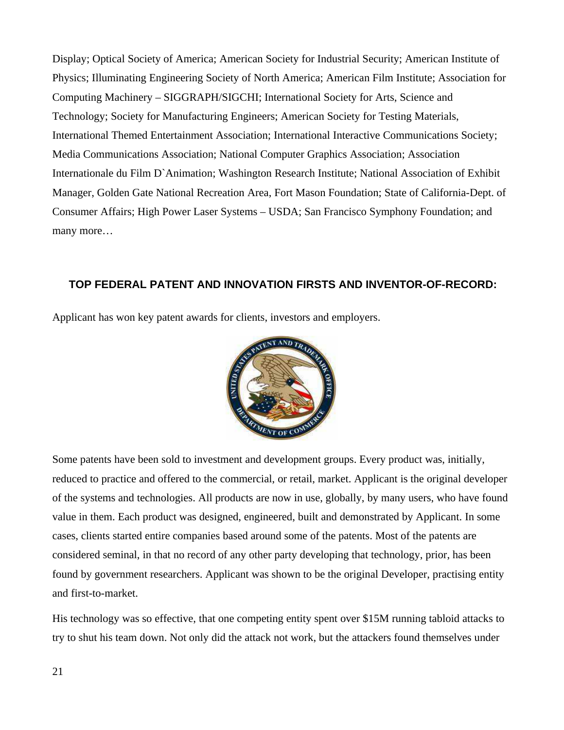Display; Optical Society of America; American Society for Industrial Security; American Institute of Physics; Illuminating Engineering Society of North America; American Film Institute; Association for Computing Machinery – SIGGRAPH/SIGCHI; International Society for Arts, Science and Technology; Society for Manufacturing Engineers; American Society for Testing Materials, International Themed Entertainment Association; International Interactive Communications Society; Media Communications Association; National Computer Graphics Association; Association Internationale du Film D`Animation; Washington Research Institute; National Association of Exhibit Manager, Golden Gate National Recreation Area, Fort Mason Foundation; State of California-Dept. of Consumer Affairs; High Power Laser Systems – USDA; San Francisco Symphony Foundation; and many more…

### **TOP FEDERAL PATENT AND INNOVATION FIRSTS AND INVENTOR-OF-RECORD:**

Applicant has won key patent awards for clients, investors and employers.



Some patents have been sold to investment and development groups. Every product was, initially, reduced to practice and offered to the commercial, or retail, market. Applicant is the original developer of the systems and technologies. All products are now in use, globally, by many users, who have found value in them. Each product was designed, engineered, built and demonstrated by Applicant. In some cases, clients started entire companies based around some of the patents. Most of the patents are considered seminal, in that no record of any other party developing that technology, prior, has been found by government researchers. Applicant was shown to be the original Developer, practising entity and first-to-market.

His technology was so effective, that one competing entity spent over \$15M running tabloid attacks to try to shut his team down. Not only did the attack not work, but the attackers found themselves under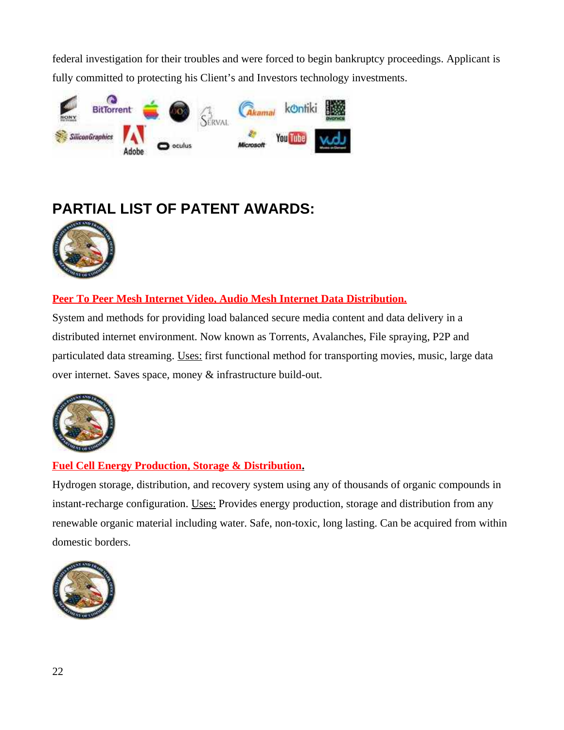federal investigation for their troubles and were forced to begin bankruptcy proceedings. Applicant is fully committed to protecting his Client's and Investors technology investments.



# **PARTIAL LIST OF PATENT AWARDS:**



## **Peer To Peer Mesh Internet Video, Audio Mesh Internet Data Distribution.**

System and methods for providing load balanced secure media content and data delivery in a distributed internet environment. Now known as Torrents, Avalanches, File spraying, P2P and particulated data streaming. Uses: first functional method for transporting movies, music, large data over internet. Saves space, money & infrastructure build-out.



## **Fuel Cell Energy Production, Storage & Distribution.**

Hydrogen storage, distribution, and recovery system using any of thousands of organic compounds in instant-recharge configuration. Uses: Provides energy production, storage and distribution from any renewable organic material including water. Safe, non-toxic, long lasting. Can be acquired from within domestic borders.

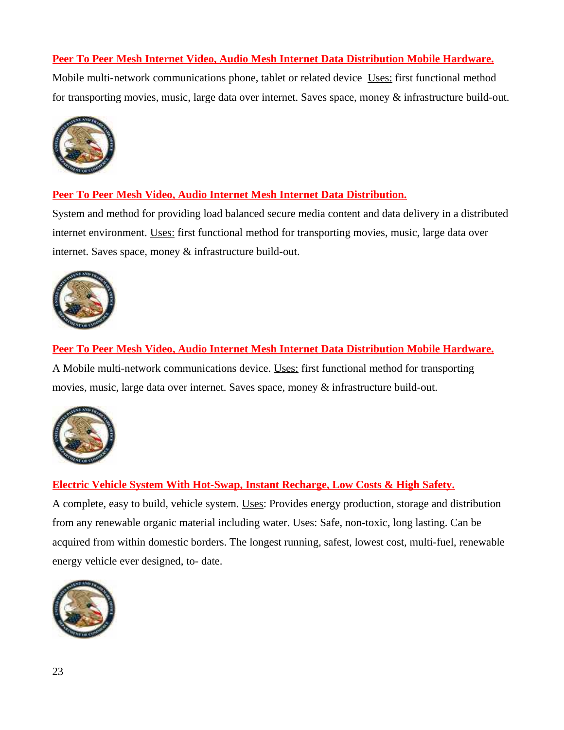## **Peer To Peer Mesh Internet Video, Audio Mesh Internet Data Distribution Mobile Hardware.**

Mobile multi-network communications phone, tablet or related device Uses: first functional method for transporting movies, music, large data over internet. Saves space, money & infrastructure build-out.



## **Peer To Peer Mesh Video, Audio Internet Mesh Internet Data Distribution.**

System and method for providing load balanced secure media content and data delivery in a distributed internet environment. Uses: first functional method for transporting movies, music, large data over internet. Saves space, money & infrastructure build-out.



**Peer To Peer Mesh Video, Audio Internet Mesh Internet Data Distribution Mobile Hardware.** A Mobile multi-network communications device. Uses: first functional method for transporting movies, music, large data over internet. Saves space, money & infrastructure build-out.



## **Electric Vehicle System With Hot-Swap, Instant Recharge, Low Costs & High Safety.**

A complete, easy to build, vehicle system. Uses: Provides energy production, storage and distribution from any renewable organic material including water. Uses: Safe, non-toxic, long lasting. Can be acquired from within domestic borders. The longest running, safest, lowest cost, multi-fuel, renewable energy vehicle ever designed, to- date.

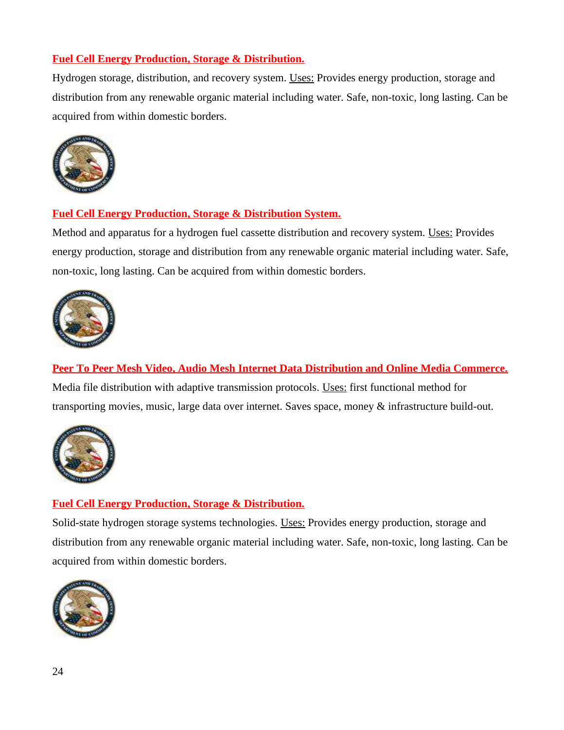## **Fuel Cell Energy Production, Storage & Distribution.**

Hydrogen storage, distribution, and recovery system. Uses: Provides energy production, storage and distribution from any renewable organic material including water. Safe, non-toxic, long lasting. Can be acquired from within domestic borders.



## **Fuel Cell Energy Production, Storage & Distribution System.**

Method and apparatus for a hydrogen fuel cassette distribution and recovery system. Uses: Provides energy production, storage and distribution from any renewable organic material including water. Safe, non-toxic, long lasting. Can be acquired from within domestic borders.



**Peer To Peer Mesh Video, Audio Mesh Internet Data Distribution and Online Media Commerce.** Media file distribution with adaptive transmission protocols. Uses: first functional method for transporting movies, music, large data over internet. Saves space, money & infrastructure build-out.



## **Fuel Cell Energy Production, Storage & Distribution.**

Solid-state hydrogen storage systems technologies. Uses: Provides energy production, storage and distribution from any renewable organic material including water. Safe, non-toxic, long lasting. Can be acquired from within domestic borders.

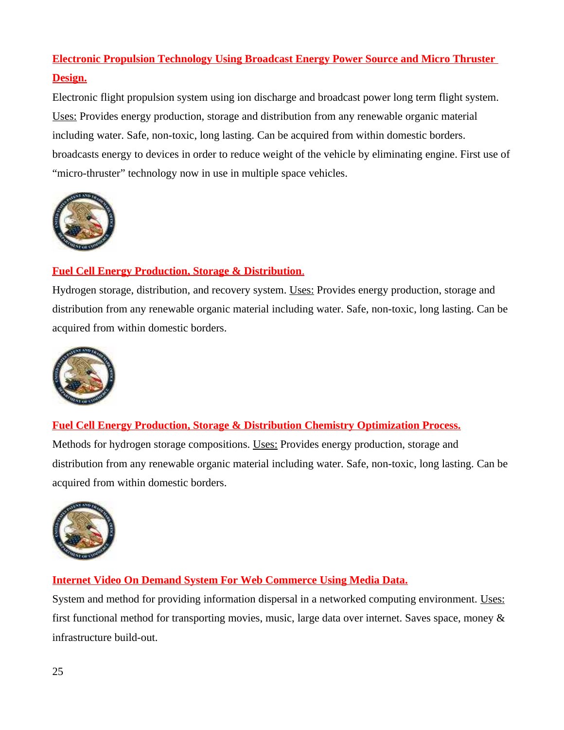# **Electronic Propulsion Technology Using Broadcast Energy Power Source and Micro Thruster Design.**

Electronic flight propulsion system using ion discharge and broadcast power long term flight system. Uses: Provides energy production, storage and distribution from any renewable organic material including water. Safe, non-toxic, long lasting. Can be acquired from within domestic borders. broadcasts energy to devices in order to reduce weight of the vehicle by eliminating engine. First use of "micro-thruster" technology now in use in multiple space vehicles.



## **Fuel Cell Energy Production, Storage & Distribution**.

Hydrogen storage, distribution, and recovery system. Uses: Provides energy production, storage and distribution from any renewable organic material including water. Safe, non-toxic, long lasting. Can be acquired from within domestic borders.



## **Fuel Cell Energy Production, Storage & Distribution Chemistry Optimization Process.**

Methods for hydrogen storage compositions. Uses: Provides energy production, storage and distribution from any renewable organic material including water. Safe, non-toxic, long lasting. Can be acquired from within domestic borders.



## **Internet Video On Demand System For Web Commerce Using Media Data.**

System and method for providing information dispersal in a networked computing environment. Uses: first functional method for transporting movies, music, large data over internet. Saves space, money & infrastructure build-out.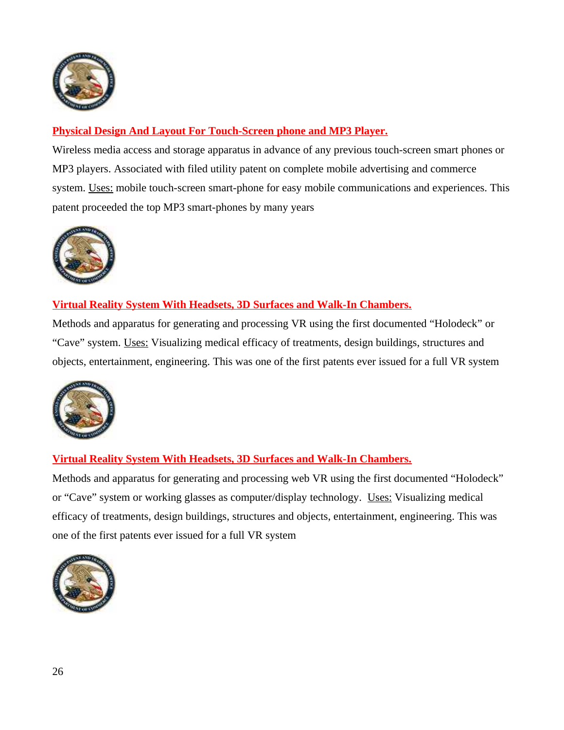

## **Physical Design And Layout For Touch-Screen phone and MP3 Player.**

Wireless media access and storage apparatus in advance of any previous touch-screen smart phones or MP3 players. Associated with filed utility patent on complete mobile advertising and commerce system. Uses: mobile touch-screen smart-phone for easy mobile communications and experiences. This patent proceeded the top MP3 smart-phones by many years



## **Virtual Reality System With Headsets, 3D Surfaces and Walk-In Chambers.**

Methods and apparatus for generating and processing VR using the first documented "Holodeck" or "Cave" system. Uses: Visualizing medical efficacy of treatments, design buildings, structures and objects, entertainment, engineering. This was one of the first patents ever issued for a full VR system



## **Virtual Reality System With Headsets, 3D Surfaces and Walk-In Chambers.**

Methods and apparatus for generating and processing web VR using the first documented "Holodeck" or "Cave" system or working glasses as computer/display technology. Uses: Visualizing medical efficacy of treatments, design buildings, structures and objects, entertainment, engineering. This was one of the first patents ever issued for a full VR system

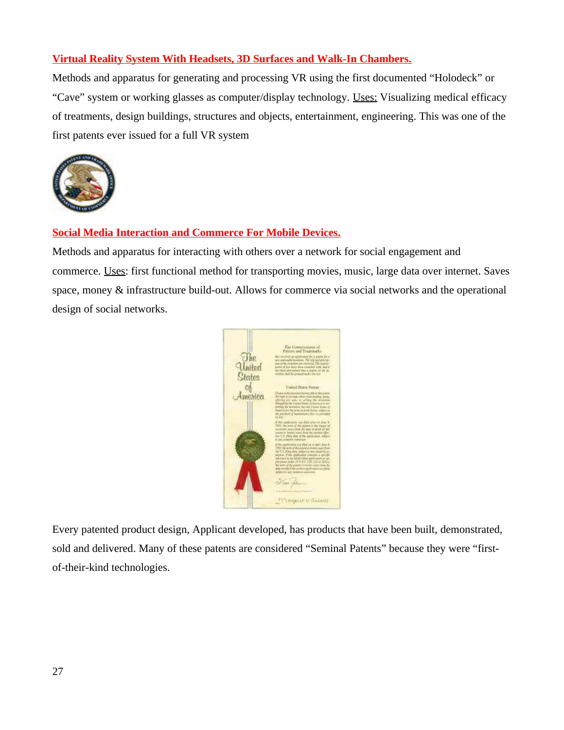## **Virtual Reality System With Headsets, 3D Surfaces and Walk-In Chambers.**

Methods and apparatus for generating and processing VR using the first documented "Holodeck" or "Cave" system or working glasses as computer/display technology. Uses: Visualizing medical efficacy of treatments, design buildings, structures and objects, entertainment, engineering. This was one of the first patents ever issued for a full VR system



## **Social Media Interaction and Commerce For Mobile Devices.**

Methods and apparatus for interacting with others over a network for social engagement and commerce. Uses: first functional method for transporting movies, music, large data over internet. Saves space, money & infrastructure build-out. Allows for commerce via social networks and the operational design of social networks.



Every patented product design, Applicant developed, has products that have been built, demonstrated, sold and delivered. Many of these patents are considered "Seminal Patents" because they were "firstof-their-kind technologies.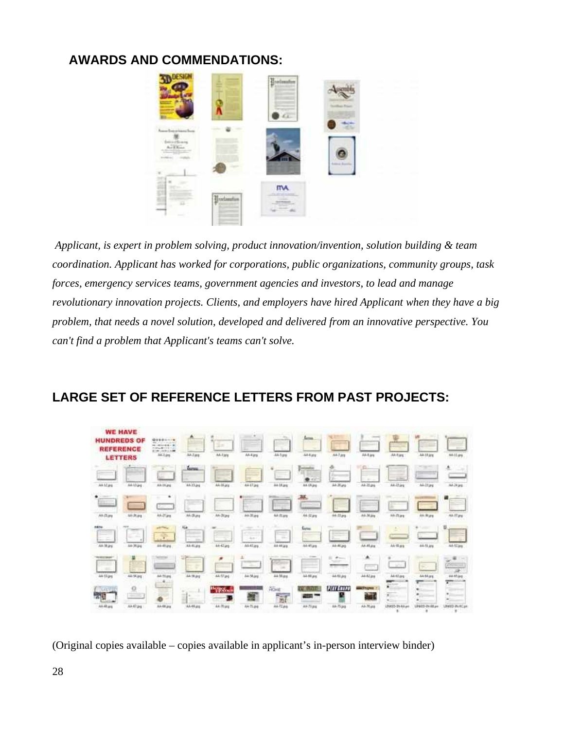## **AWARDS AND COMMENDATIONS:**



*Applicant, is expert in problem solving, product innovation/invention, solution building & team coordination. Applicant has worked for corporations, public organizations, community groups, task forces, emergency services teams, government agencies and investors, to lead and manage revolutionary innovation projects. Clients, and employers have hired Applicant when they have a big problem, that needs a novel solution, developed and delivered from an innovative perspective. You can't find a problem that Applicant's teams can't solve.*

| <b>WE HAVE</b><br><b>HUNDREDS OF</b><br><b>REFERENCE</b><br><b>LETTER5</b>                                                                             |                               | 01101-19<br>WE concertainty<br><b>2010/07/08 01:00</b><br><b><i>PORTABLE TAL</i></b><br><b>AT ME DERIVERS</b><br>A4-Line | AA/Jarg                                        | ïш<br>AA-Tans     | $\blacksquare$<br>_<br>ANAJAS                           | -Mila<br>44199<br><b>TO</b>                | forms.<br>$\sim$<br>A44.95                                  | A47.89                                                  | A4-5 (erg)                            | <b>Anties</b><br><b>STEP</b>                                                                                     | 44-18.018                                                                                        | $\sim$<br><b>Millies</b>                                        |
|--------------------------------------------------------------------------------------------------------------------------------------------------------|-------------------------------|--------------------------------------------------------------------------------------------------------------------------|------------------------------------------------|-------------------|---------------------------------------------------------|--------------------------------------------|-------------------------------------------------------------|---------------------------------------------------------|---------------------------------------|------------------------------------------------------------------------------------------------------------------|--------------------------------------------------------------------------------------------------|-----------------------------------------------------------------|
| $\sim$<br>AA SEAN                                                                                                                                      | AAIJag                        | Links<br>AA 33, pg                                                                                                       | forms.<br>$\overline{\phantom{a}}$<br>44-15.04 | ÷<br>AA-Marg      | <br>÷<br>AA Eliae                                       | <b>Contract</b><br>--<br>TIME 1<br>AA Mark | 111<br>AA (Aps)                                             | o<br>œ<br><b>Phone</b><br>×.<br>description<br>Ak 26ans | $\sim$<br>Ak2Lare                     | -<br>$\frac{1}{2} \left( \frac{1}{2} \right) \left( \frac{1}{2} \right) \left( \frac{1}{2} \right)$<br>AA-12 are | レベアミトネート<br>AA-33.pg                                                                             | 术<br>AA 24 jag                                                  |
| ٠<br><b>ffice</b><br>AA-(3.py                                                                                                                          | 3/4-25.pg                     | ٠<br>-<br>AA-27 (mg                                                                                                      | 33/3.21                                        | w.<br>$14-76$ ps  | A4-35 are                                               | -<br>111111<br>马吉时                         | 巫<br>$\sim$<br>AA (2.8%)                                    | $44 - 33$ and                                           | A4-34 (e)                             | 33-Tias                                                                                                          | <b>BEFOR</b><br>AA-3k pra                                                                        | a<br><b>ALT 29</b>                                              |
| <b><i>SAVE</i></b><br>$\frac{1}{2} \left( \frac{1}{2} \right) \left( \frac{1}{2} \right) \left( \frac{1}{2} \right) \left( \frac{1}{2} \right)$<br>--- | <b>Section</b><br>-<br>Sec.   | <b>STATION</b><br>÷                                                                                                      | 10.4<br><b>Service</b>                         | _____<br>__       | ÷.<br>-<br>affiliate and it<br><b>Service</b><br>$+1/2$ | --<br><b>STATE</b>                         | <b>Darius</b>                                               |                                                         | and the same and                      | ٠<br>$\sim$                                                                                                      |                                                                                                  | υ                                                               |
| AA-38 and<br><b><i><u>TESTINAE</u></i></b><br>×                                                                                                        | A4 09.ps<br><b>TO ATTACHE</b> | 44-40.04                                                                                                                 | 48-41.09<br>                                   | 44-42 arg<br>×    | AA-41 ara<br><b>Contract</b>                            | Ah Higgs<br><b>The Company</b><br>$-1$     | Ab Klass<br><b>START</b><br>$\sim$<br><br><b>Links</b><br>- | AA Müng<br>$\cdots$<br>٠<br><b>SALE</b>                 | AK-Multiple<br>۸                      | A4 00.6%<br><b>SOF</b>                                                                                           | 84-11.04<br>is a                                                                                 | A4-57 jag<br>$\overline{a}$<br>$\sim$<br>Channel Charles<br>$-$ |
| Aktigs<br>Жī                                                                                                                                           | <b>ALL 14.349</b><br>o        | AR-75.99<br><b>ALC</b><br>$-0.77$<br><b>College State</b>                                                                | <b>JA/M.91</b><br>÷<br>$\sim$<br>×.            | stilling<br>"When | 34.56.pg                                                | AA Marg<br><b>PICAME</b>                   | m<br><b>JA 68 are</b><br><b>ALCOHOL:</b>                    | <b>AA 60 Jks</b><br><b>EUTROPE</b>                      | <b>JA 62.04</b><br><b>County</b><br>÷ | <b>AA47.bs</b><br><b>ESEMINAL COMPANY</b><br><b>PEACHTREE</b><br>٠<br>×                                          | <b><i><u>PERSONAL PROPERTY</u></i></b><br><b>JA 64 art</b><br>$\overline{\phantom{a}}$<br>۰<br>٠ | æ<br><b>24.97.64</b><br>∓<br>٠<br>٠                             |
| AA-48.prg                                                                                                                                              | Ak AT pro                     | AA-68.jpg                                                                                                                | <b>STATE</b><br>AA-95.016                      | AA-70 ung         | --<br>44.75.04                                          | $\overline{\mathbf{M}}$<br>AA72,88         | Ak73.psg                                                    | 6A-75 jag                                               | All-Mark                              | $\blacksquare$<br>LINKS25-2N-A.A.am                                                                              | ٠<br>LPASS-DV-REam                                                                               | $\overline{a}$<br>UNION PLACER                                  |

# **LARGE SET OF REFERENCE LETTERS FROM PAST PROJECTS:**

(Original copies available – copies available in applicant's in-person interview binder)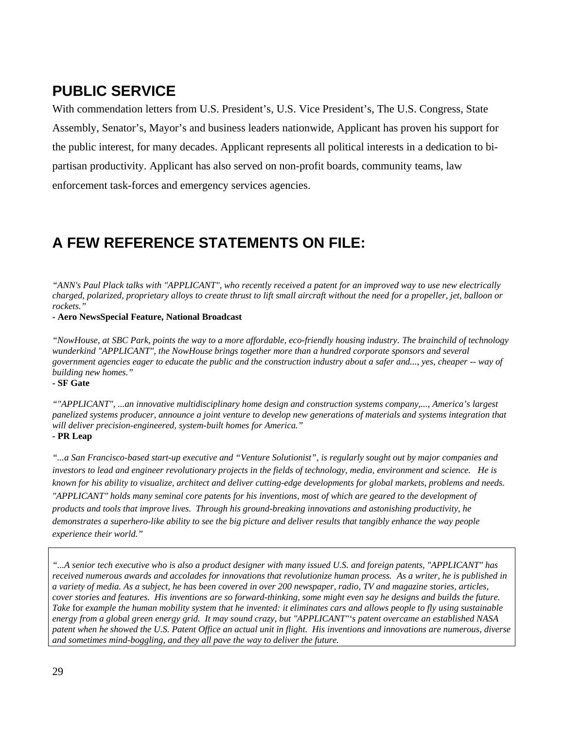# **PUBLIC SERVICE**

With commendation letters from U.S. President's, U.S. Vice President's, The U.S. Congress, State Assembly, Senator's, Mayor's and business leaders nationwide, Applicant has proven his support for the public interest, for many decades. Applicant represents all political interests in a dedication to bipartisan productivity. Applicant has also served on non-profit boards, community teams, law enforcement task-forces and emergency services agencies.

# **A FEW REFERENCE STATEMENTS ON FILE:**

*"ANN's Paul Plack talks with "APPLICANT", who recently received a patent for an improved way to use new electrically charged, polarized, proprietary alloys to create thrust to lift small aircraft without the need for a propeller, jet, balloon or rockets."*

**- Aero NewsSpecial Feature, National Broadcast**

*"NowHouse, at SBC Park, points the way to a more affordable, eco-friendly housing industry. The brainchild of technology wunderkind "APPLICANT", the NowHouse brings together more than a hundred corporate sponsors and several government agencies eager to educate the public and the construction industry about a safer and..., yes, cheaper -- way of building new homes."*

**- SF Gate**

*""APPLICANT", ...an innovative multidisciplinary home design and construction systems company,..., America's largest panelized systems producer, announce a joint venture to develop new generations of materials and systems integration that will deliver precision-engineered, system-built homes for America."* **- PR Leap**

*"...a San Francisco-based start-up executive and "Venture Solutionist", is regularly sought out by major companies and investors to lead and engineer revolutionary projects in the fields of technology, media, environment and science. He is known for his ability to visualize, architect and deliver cutting-edge developments for global markets, problems and needs. "APPLICANT" holds many seminal core patents for his inventions, most of which are geared to the development of products and tools that improve lives. Through his ground-breaking innovations and astonishing productivity, he demonstrates a superhero-like ability to see the big picture and deliver results that tangibly enhance the way people experience their world."* 

*"...A senior tech executive who is also a product designer with many issued U.S. and foreign patents, "APPLICANT" has received numerous awards and accolades for innovations that revolutionize human process. As a writer, he is published in a variety of media. As a subject, he has been covered in over 200 newspaper, radio, TV and magazine stories, articles, cover stories and features. His inventions are so forward-thinking, some might even say he designs and builds the future. Take* for *example the human mobility system that he invented: it eliminates cars and allows people to fly using sustainable energy from a global green energy grid. It may sound crazy, but "APPLICANT"'s patent overcame an established NASA patent when he showed the U.S. Patent Office an actual unit in flight. His inventions and innovations are numerous, diverse and sometimes mind-boggling, and they all pave the way to deliver the future.*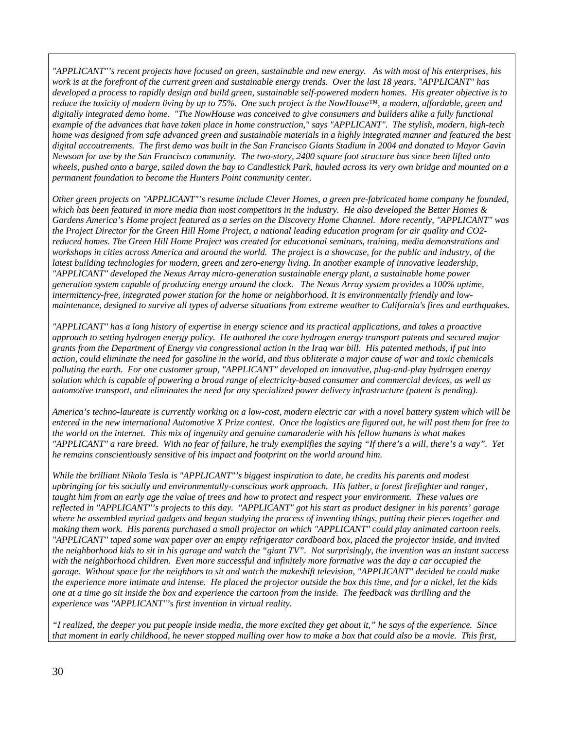*"APPLICANT"'s recent projects have focused on green, sustainable and new energy. As with most of his enterprises, his work is at the forefront of the current green and sustainable energy trends. Over the last 18 years, "APPLICANT" has developed a process to rapidly design and build green, sustainable self-powered modern homes. His greater objective is to reduce the toxicity of modern living by up to 75%. One such project is the NowHouse™, a modern, affordable, green and*  digitally integrated demo home. "The NowHouse was conceived to give consumers and builders alike a fully functional *example of the advances that have taken place in home construction," says "APPLICANT". The stylish, modern, high-tech home was designed from safe advanced green and sustainable materials in a highly integrated manner and featured the best digital accoutrements. The first demo was built in the San Francisco Giants Stadium in 2004 and donated to Mayor Gavin Newsom for use by the San Francisco community. The two-story, 2400 square foot structure has since been lifted onto wheels, pushed onto a barge, sailed down the bay to Candlestick Park, hauled across its very own bridge and mounted on a permanent foundation to become the Hunters Point community center.* 

*Other green projects on "APPLICANT"'s resume include Clever Homes, a green pre-fabricated home company he founded, which has been featured in more media than most competitors in the industry. He also developed the Better Homes & Gardens America's Home project featured as a series on the Discovery Home Channel. More recently, "APPLICANT" was the Project Director for the Green Hill Home Project, a national leading education program for air quality and CO2 reduced homes. The Green Hill Home Project was created for educational seminars, training, media demonstrations and*  workshops in cities across America and around the world. The project is a showcase, for the public and industry, of the *latest building technologies for modern, green and zero-energy living. In another example of innovative leadership, "APPLICANT" developed the Nexus Array micro-generation sustainable energy plant, a sustainable home power generation system capable of producing energy around the clock. The Nexus Array system provides a 100% uptime, intermittency-free, integrated power station for the home or neighborhood. It is environmentally friendly and lowmaintenance, designed to survive all types of adverse situations from extreme weather to California's fires and earthquakes.*

*"APPLICANT" has a long history of expertise in energy science and its practical applications, and takes a proactive approach to setting hydrogen energy policy. He authored the core hydrogen energy transport patents and secured major grants from the Department of Energy via congressional action in the Iraq war bill. His patented methods, if put into action, could eliminate the need for gasoline in the world, and thus obliterate a major cause of war and toxic chemicals polluting the earth. For one customer group, "APPLICANT" developed an innovative, plug-and-play hydrogen energy solution which is capable of powering a broad range of electricity-based consumer and commercial devices, as well as automotive transport, and eliminates the need for any specialized power delivery infrastructure (patent is pending).* 

*America's techno-laureate is currently working on a low-cost, modern electric car with a novel battery system which will be entered in the new international Automotive X Prize contest. Once the logistics are figured out, he will post them for free to the world on the internet. This mix of ingenuity and genuine camaraderie with his fellow humans is what makes "APPLICANT" a rare breed. With no fear of failure, he truly exemplifies the saying "If there's a will, there's a way". Yet he remains conscientiously sensitive of his impact and footprint on the world around him.* 

*While the brilliant Nikola Tesla is "APPLICANT"'s biggest inspiration to date, he credits his parents and modest upbringing for his socially and environmentally-conscious work approach. His father, a forest firefighter and ranger,*  taught him from an early age the value of trees and how to protect and respect your environment. These values are *reflected in "APPLICANT"'s projects to this day. "APPLICANT" got his start as product designer in his parents' garage where he assembled myriad gadgets and began studying the process of inventing things, putting their pieces together and making them work. His parents purchased a small projector on which "APPLICANT" could play animated cartoon reels. "APPLICANT" taped some wax paper over an empty refrigerator cardboard box, placed the projector inside, and invited the neighborhood kids to sit in his garage and watch the "giant TV". Not surprisingly, the invention was an instant success* with the neighborhood children. Even more successful and infinitely more formative was the day a car occupied the *garage. Without space for the neighbors to sit and watch the makeshift television, "APPLICANT" decided he could make the experience more intimate and intense. He placed the projector outside the box this time, and for a nickel, let the kids one at a time go sit inside the box and experience the cartoon from the inside. The feedback was thrilling and the experience was "APPLICANT"'s first invention in virtual reality.* 

*"I realized, the deeper you put people inside media, the more excited they get about it," he says of the experience. Since that moment in early childhood, he never stopped mulling over how to make a box that could also be a movie. This first,*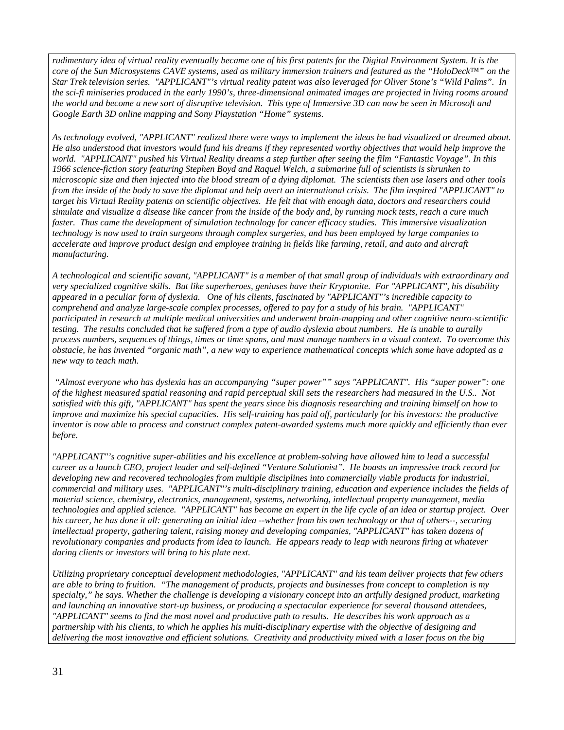*rudimentary idea of virtual reality eventually became one of his first patents for the Digital Environment System. It is the core of the Sun Microsystems CAVE systems, used as military immersion trainers and featured as the "HoloDeck™" on the Star Trek television series. "APPLICANT"'s virtual reality patent was also leveraged for Oliver Stone's "Wild Palms". In the sci-fi miniseries produced in the early 1990's, three-dimensional animated images are projected in living rooms around the world and become a new sort of disruptive television. This type of Immersive 3D can now be seen in Microsoft and Google Earth 3D online mapping and Sony Playstation "Home" systems.*

*As technology evolved, "APPLICANT" realized there were ways to implement the ideas he had visualized or dreamed about. He also understood that investors would fund his dreams if they represented worthy objectives that would help improve the world. "APPLICANT" pushed his Virtual Reality dreams a step further after seeing the film "Fantastic Voyage". In this 1966 science-fiction story featuring Stephen Boyd and Raquel Welch, a submarine full of scientists is shrunken to microscopic size and then injected into the blood stream of a dying diplomat. The scientists then use lasers and other tools from the inside of the body to save the diplomat and help avert an international crisis. The film inspired "APPLICANT" to target his Virtual Reality patents on scientific objectives. He felt that with enough data, doctors and researchers could simulate and visualize a disease like cancer from the inside of the body and, by running mock tests, reach a cure much*  faster. Thus came the development of simulation technology for cancer efficacy studies. This immersive visualization *technology is now used to train surgeons through complex surgeries, and has been employed by large companies to accelerate and improve product design and employee training in fields like farming, retail, and auto and aircraft manufacturing.*

*A technological and scientific savant, "APPLICANT" is a member of that small group of individuals with extraordinary and very specialized cognitive skills. But like superheroes, geniuses have their Kryptonite. For "APPLICANT", his disability appeared in a peculiar form of dyslexia. One of his clients, fascinated by "APPLICANT"'s incredible capacity to comprehend and analyze large-scale complex processes, offered to pay for a study of his brain. "APPLICANT" participated in research at multiple medical universities and underwent brain-mapping and other cognitive neuro-scientific testing. The results concluded that he suffered from a type of audio dyslexia about numbers. He is unable to aurally process numbers, sequences of things, times or time spans, and must manage numbers in a visual context. To overcome this obstacle, he has invented "organic math", a new way to experience mathematical concepts which some have adopted as a new way to teach math.* 

 *"Almost everyone who has dyslexia has an accompanying "super power"" says "APPLICANT". His "super power": one of the highest measured spatial reasoning and rapid perceptual skill sets the researchers had measured in the U.S.. Not satisfied with this gift, "APPLICANT" has spent the years since his diagnosis researching and training himself on how to improve and maximize his special capacities. His self-training has paid off, particularly for his investors: the productive inventor is now able to process and construct complex patent-awarded systems much more quickly and efficiently than ever before.*

*"APPLICANT"'s cognitive super-abilities and his excellence at problem-solving have allowed him to lead a successful career as a launch CEO, project leader and self-defined "Venture Solutionist". He boasts an impressive track record for*  developing new and recovered technologies from multiple disciplines into commercially viable products for industrial, *commercial and military uses. "APPLICANT"'s multi-disciplinary training, education and experience includes the fields of material science, chemistry, electronics, management, systems, networking, intellectual property management, media technologies and applied science. "APPLICANT" has become an expert in the life cycle of an idea or startup project. Over his career, he has done it all: generating an initial idea --whether from his own technology or that of others--, securing*  intellectual property, gathering talent, raising money and developing companies, "APPLICANT" has taken dozens of *revolutionary companies and products from idea to launch. He appears ready to leap with neurons firing at whatever daring clients or investors will bring to his plate next.* 

*Utilizing proprietary conceptual development methodologies, "APPLICANT" and his team deliver projects that few others are able to bring to fruition. "The management of products, projects and businesses from concept to completion is my specialty," he says. Whether the challenge is developing a visionary concept into an artfully designed product, marketing and launching an innovative start-up business, or producing a spectacular experience for several thousand attendees, "APPLICANT" seems to find the most novel and productive path to results. He describes his work approach as a partnership with his clients, to which he applies his multi-disciplinary expertise with the objective of designing and delivering the most innovative and efficient solutions. Creativity and productivity mixed with a laser focus on the big*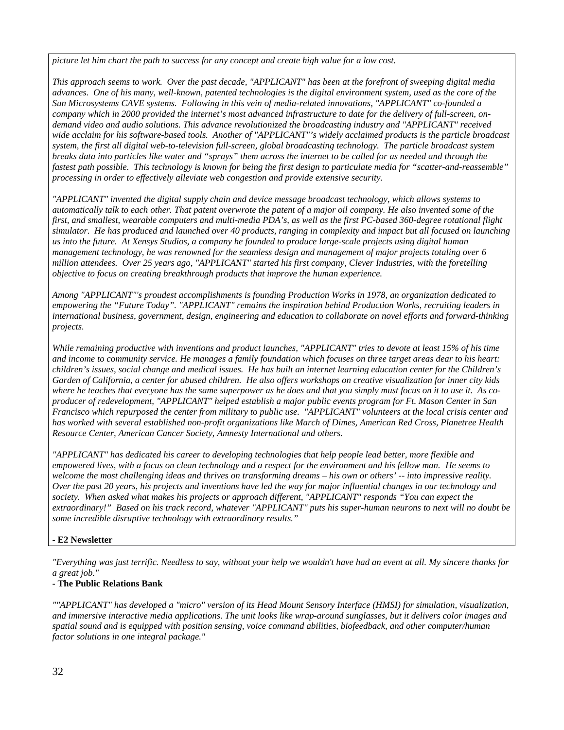*picture let him chart the path to success for any concept and create high value for a low cost.*

*This approach seems to work. Over the past decade, "APPLICANT" has been at the forefront of sweeping digital media advances. One of his many, well-known, patented technologies is the digital environment system, used as the core of the Sun Microsystems CAVE systems. Following in this vein of media-related innovations, "APPLICANT" co-founded a company which in 2000 provided the internet's most advanced infrastructure to date for the delivery of full-screen, ondemand video and audio solutions. This advance revolutionized the broadcasting industry and "APPLICANT" received wide acclaim for his software-based tools. Another of "APPLICANT"'s widely acclaimed products is the particle broadcast system, the first all digital web-to-television full-screen, global broadcasting technology. The particle broadcast system breaks data into particles like water and "sprays" them across the internet to be called for as needed and through the fastest path possible. This technology is known for being the first design to particulate media for "scatter-and-reassemble" processing in order to effectively alleviate web congestion and provide extensive security.*

*"APPLICANT" invented the digital supply chain and device message broadcast technology, which allows systems to automatically talk to each other. That patent overwrote the patent of a major oil company. He also invented some of the first, and smallest, wearable computers and multi-media PDA's, as well as the first PC-based 360-degree rotational flight simulator. He has produced and launched over 40 products, ranging in complexity and impact but all focused on launching us into the future. At Xensys Studios, a company he founded to produce large-scale projects using digital human management technology, he was renowned for the seamless design and management of major projects totaling over 6 million attendees. Over 25 years ago, "APPLICANT" started his first company, Clever Industries, with the foretelling objective to focus on creating breakthrough products that improve the human experience.* 

*Among "APPLICANT"'s proudest accomplishments is founding Production Works in 1978, an organization dedicated to empowering the "Future Today". "APPLICANT" remains the inspiration behind Production Works, recruiting leaders in international business, government, design, engineering and education to collaborate on novel efforts and forward-thinking projects.* 

*While remaining productive with inventions and product launches, "APPLICANT" tries to devote at least 15% of his time and income to community service. He manages a family foundation which focuses on three target areas dear to his heart: children's issues, social change and medical issues. He has built an internet learning education center for the Children's Garden of California, a center for abused children. He also offers workshops on creative visualization for inner city kids where he teaches that everyone has the same superpower as he does and that you simply must focus on it to use it. As coproducer of redevelopment, "APPLICANT" helped establish a major public events program for Ft. Mason Center in San Francisco which repurposed the center from military to public use. "APPLICANT" volunteers at the local crisis center and has worked with several established non-profit organizations like March of Dimes, American Red Cross, Planetree Health Resource Center, American Cancer Society, Amnesty International and others.*

*"APPLICANT" has dedicated his career to developing technologies that help people lead better, more flexible and empowered lives, with a focus on clean technology and a respect for the environment and his fellow man. He seems to welcome the most challenging ideas and thrives on transforming dreams – his own or others' -- into impressive reality. Over the past 20 years, his projects and inventions have led the way for major influential changes in our technology and society. When asked what makes his projects or approach different, "APPLICANT" responds "You can expect the extraordinary!" Based on his track record, whatever "APPLICANT" puts his super-human neurons to next will no doubt be some incredible disruptive technology with extraordinary results."*

### **- E2 Newsletter**

*"Everything was just terrific. Needless to say, without your help we wouldn't have had an event at all. My sincere thanks for a great job."*

### **- The Public Relations Bank**

*""APPLICANT" has developed a "micro" version of its Head Mount Sensory Interface (HMSI) for simulation, visualization, and immersive interactive media applications. The unit looks like wrap-around sunglasses, but it delivers color images and spatial sound and is equipped with position sensing, voice command abilities, biofeedback, and other computer/human factor solutions in one integral package."*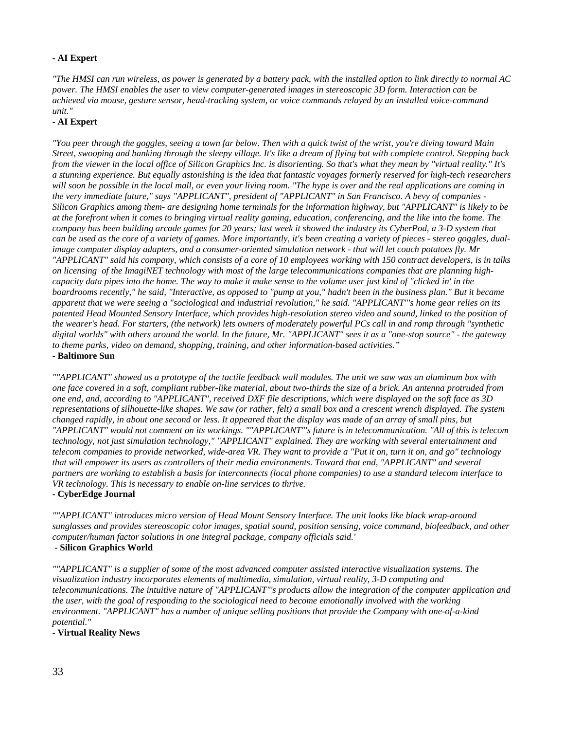### **- AI Expert**

*"The HMSI can run wireless, as power is generated by a battery pack, with the installed option to link directly to normal AC power. The HMSI enables the user to view computer-generated images in stereoscopic 3D form. Interaction can be achieved via mouse, gesture sensor, head-tracking system, or voice commands relayed by an installed voice-command unit."*

### **- AI Expert**

*"You peer through the goggles, seeing a town far below. Then with a quick twist of the wrist, you're diving toward Main Street, swooping and banking through the sleepy village. It's like a dream of flying but with complete control. Stepping back from the viewer in the local office of Silicon Graphics Inc. is disorienting. So that's what they mean by "virtual reality." It's a stunning experience. But equally astonishing is the idea that fantastic voyages formerly reserved for high-tech researchers will soon be possible in the local mall, or even your living room. "The hype is over and the real applications are coming in the very immediate future," says "APPLICANT", president of "APPLICANT" in San Francisco. A bevy of companies - Silicon Graphics among them- are designing home terminals for the information highway, but "APPLICANT" is likely to be at the forefront when it comes to bringing virtual reality gaming, education, conferencing, and the like into the home. The company has been building arcade games for 20 years; last week it showed the industry its CyberPod, a 3-D system that can be used as the core of a variety of games. More importantly, it's been creating a variety of pieces - stereo goggles, dualimage computer display adapters, and a consumer-oriented simulation network - that will let couch potatoes fly. Mr "APPLICANT" said his company, which consists of a core of 10 employees working with 150 contract developers, is in talks on licensing of the ImagiNET technology with most of the large telecommunications companies that are planning highcapacity data pipes into the home. The way to make it make sense to the volume user just kind of "clicked in' in the boardrooms recently," he said, "Interactive, as opposed to "pump at you," hadn't been in the business plan." But it became apparent that we were seeing a "sociological and industrial revolution," he said. "APPLICANT"'s home gear relies on its patented Head Mounted Sensory Interface, which provides high-resolution stereo video and sound, linked to the position of the wearer's head. For starters, (the network) lets owners of moderately powerful PCs call in and romp through "synthetic digital worlds" with others around the world. In the future, Mr. "APPLICANT" sees it as a "one-stop source" - the gateway to theme parks, video on demand, shopping, training, and other information-based activities."* **- Baltimore Sun**

*""APPLICANT" showed us a prototype of the tactile feedback wall modules. The unit we saw was an aluminum box with one face covered in a soft, compliant rubber-like material, about two-thirds the size of a brick. An antenna protruded from one end, and, according to "APPLICANT", received DXF file descriptions, which were displayed on the soft face as 3D representations of silhouette-like shapes. We saw (or rather, felt) a small box and a crescent wrench displayed. The system changed rapidly, in about one second or less. It appeared that the display was made of an array of small pins, but "APPLICANT" would not comment on its workings. ""APPLICANT"'s future is in telecommunication. "All of this is telecom technology, not just simulation technology," "APPLICANT" explained. They are working with several entertainment and telecom companies to provide networked, wide-area VR. They want to provide a "Put it on, turn it on, and go" technology*  that will empower its users as controllers of their media environments. Toward that end, "APPLICANT" and several *partners are working to establish a basis for interconnects (local phone companies) to use a standard telecom interface to VR technology. This is necessary to enable on-line services to thrive.*

#### **- CyberEdge Journal**

*""APPLICANT" introduces micro version of Head Mount Sensory Interface. The unit looks like black wrap-around sunglasses and provides stereoscopic color images, spatial sound, position sensing, voice command, biofeedback, and other computer/human factor solutions in one integral package, company officials said.'*

### **- Silicon Graphics World**

*""APPLICANT" is a supplier of some of the most advanced computer assisted interactive visualization systems. The visualization industry incorporates elements of multimedia, simulation, virtual reality, 3-D computing and telecommunications. The intuitive nature of "APPLICANT"'s products allow the integration of the computer application and the user, with the goal of responding to the sociological need to become emotionally involved with the working environment. "APPLICANT" has a number of unique selling positions that provide the Company with one-of-a-kind potential."*

**- Virtual Reality News**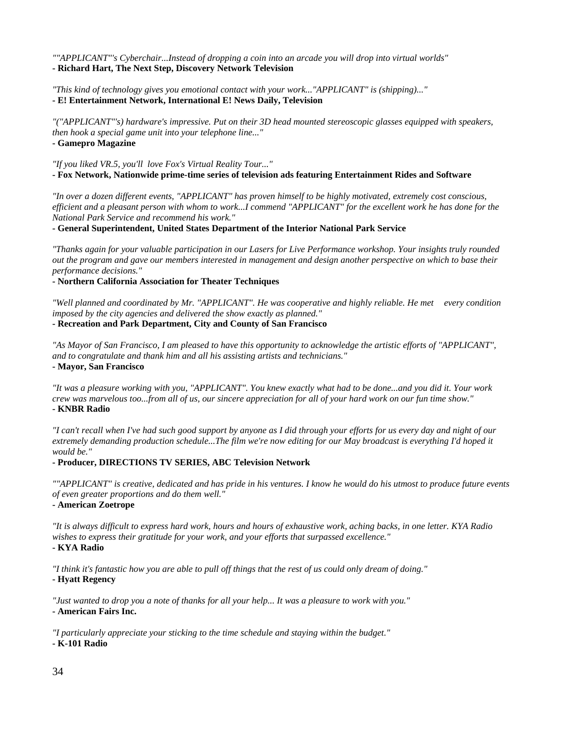*""APPLICANT"'s Cyberchair...Instead of dropping a coin into an arcade you will drop into virtual worlds"*  **- Richard Hart, The Next Step, Discovery Network Television**

*"This kind of technology gives you emotional contact with your work..."APPLICANT" is (shipping)..."* **- E! Entertainment Network, International E! News Daily, Television**

*"("APPLICANT"'s) hardware's impressive. Put on their 3D head mounted stereoscopic glasses equipped with speakers, then hook a special game unit into your telephone line..."*

**- Gamepro Magazine**

*"If you liked VR.5, you'll love Fox's Virtual Reality Tour..."* **- Fox Network, Nationwide prime-time series of television ads featuring Entertainment Rides and Software**

*"In over a dozen different events, "APPLICANT" has proven himself to be highly motivated, extremely cost conscious, efficient and a pleasant person with whom to work...I commend "APPLICANT" for the excellent work he has done for the National Park Service and recommend his work."*

**- General Superintendent, United States Department of the Interior National Park Service**

*"Thanks again for your valuable participation in our Lasers for Live Performance workshop. Your insights truly rounded out the program and gave our members interested in management and design another perspective on which to base their performance decisions."*

**- Northern California Association for Theater Techniques**

*"Well planned and coordinated by Mr. "APPLICANT". He was cooperative and highly reliable. He met every condition imposed by the city agencies and delivered the show exactly as planned."*

**- Recreation and Park Department, City and County of San Francisco**

*"As Mayor of San Francisco, I am pleased to have this opportunity to acknowledge the artistic efforts of "APPLICANT", and to congratulate and thank him and all his assisting artists and technicians."*

**- Mayor, San Francisco**

*"It was a pleasure working with you, "APPLICANT". You knew exactly what had to be done...and you did it. Your work crew was marvelous too...from all of us, our sincere appreciation for all of your hard work on our fun time show."* **- KNBR Radio**

*"I can't recall when I've had such good support by anyone as I did through your efforts for us every day and night of our extremely demanding production schedule...The film we're now editing for our May broadcast is everything I'd hoped it would be."*

### **- Producer, DIRECTIONS TV SERIES, ABC Television Network**

*""APPLICANT" is creative, dedicated and has pride in his ventures. I know he would do his utmost to produce future events of even greater proportions and do them well."*

**- American Zoetrope**

*"It is always difficult to express hard work, hours and hours of exhaustive work, aching backs, in one letter. KYA Radio wishes to express their gratitude for your work, and your efforts that surpassed excellence."* **- KYA Radio**

*"I think it's fantastic how you are able to pull off things that the rest of us could only dream of doing."*

**- Hyatt Regency**

*"Just wanted to drop you a note of thanks for all your help... It was a pleasure to work with you."*

**- American Fairs Inc.**

*"I particularly appreciate your sticking to the time schedule and staying within the budget."* **- K-101 Radio**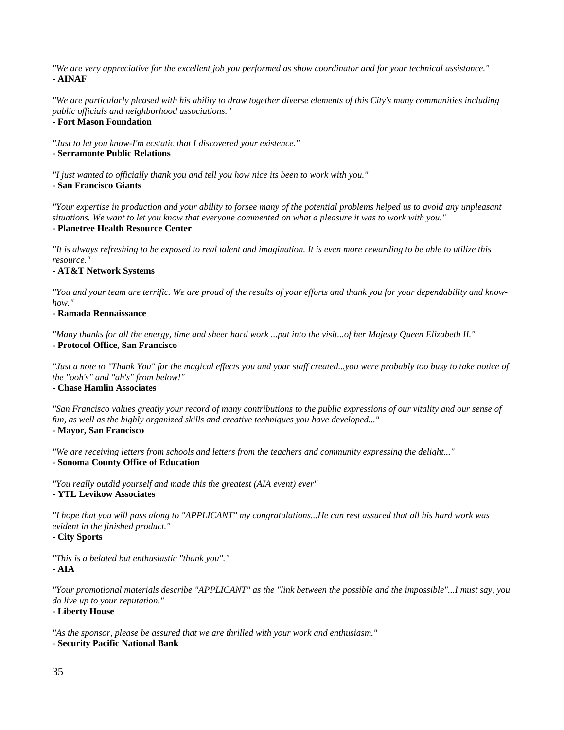*"We are very appreciative for the excellent job you performed as show coordinator and for your technical assistance."* **- AINAF**

*"We are particularly pleased with his ability to draw together diverse elements of this City's many communities including public officials and neighborhood associations."*

### **- Fort Mason Foundation**

*"Just to let you know-I'm ecstatic that I discovered your existence."*

#### **- Serramonte Public Relations**

*"I just wanted to officially thank you and tell you how nice its been to work with you."*

**- San Francisco Giants**

*"Your expertise in production and your ability to forsee many of the potential problems helped us to avoid any unpleasant situations. We want to let you know that everyone commented on what a pleasure it was to work with you."*

### **- Planetree Health Resource Center**

*"It is always refreshing to be exposed to real talent and imagination. It is even more rewarding to be able to utilize this resource."*

### **- AT&T Network Systems**

*"You and your team are terrific. We are proud of the results of your efforts and thank you for your dependability and knowhow."*

#### **- Ramada Rennaissance**

*"Many thanks for all the energy, time and sheer hard work ...put into the visit...of her Majesty Queen Elizabeth II."* **- Protocol Office, San Francisco**

*"Just a note to "Thank You" for the magical effects you and your staff created...you were probably too busy to take notice of the "ooh's" and "ah's" from below!"*

### **- Chase Hamlin Associates**

*"San Francisco values greatly your record of many contributions to the public expressions of our vitality and our sense of fun, as well as the highly organized skills and creative techniques you have developed..."*

### **- Mayor, San Francisco**

*"We are receiving letters from schools and letters from the teachers and community expressing the delight..."* **- Sonoma County Office of Education**

*"You really outdid yourself and made this the greatest (AIA event) ever"*

**- YTL Levikow Associates**

*"I hope that you will pass along to "APPLICANT" my congratulations...He can rest assured that all his hard work was evident in the finished product."*

### **- City Sports**

*"This is a belated but enthusiastic "thank you"."* **- AIA**

*"Your promotional materials describe "APPLICANT" as the "link between the possible and the impossible"...I must say, you do live up to your reputation."*

### **- Liberty House**

*"As the sponsor, please be assured that we are thrilled with your work and enthusiasm."*

### - **Security Pacific National Bank**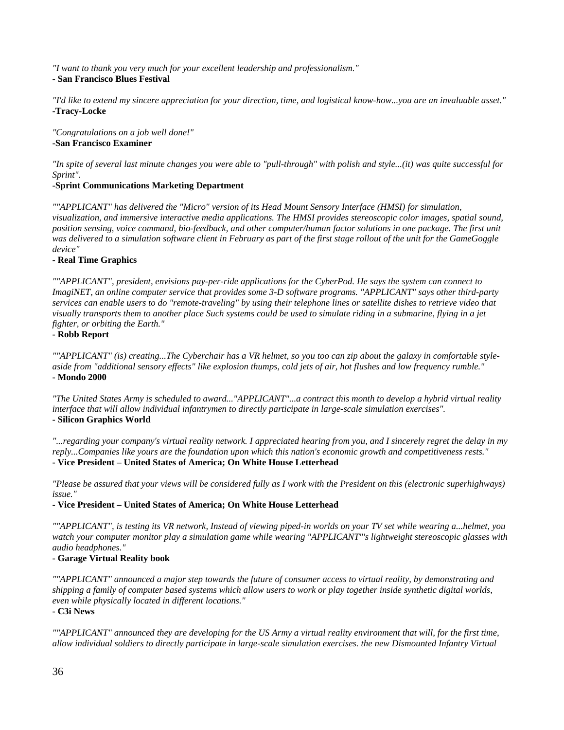*"I want to thank you very much for your excellent leadership and professionalism."*

### **- San Francisco Blues Festival**

*"I'd like to extend my sincere appreciation for your direction, time, and logistical know-how...you are an invaluable asset."* **-Tracy-Locke**

*"Congratulations on a job well done!"* **-San Francisco Examiner**

*"In spite of several last minute changes you were able to "pull-through" with polish and style...(it) was quite successful for Sprint".*

### **-Sprint Communications Marketing Department**

*""APPLICANT" has delivered the "Micro" version of its Head Mount Sensory Interface (HMSI) for simulation, visualization, and immersive interactive media applications. The HMSI provides stereoscopic color images, spatial sound, position sensing, voice command, bio-feedback, and other computer/human factor solutions in one package. The first unit was delivered to a simulation software client in February as part of the first stage rollout of the unit for the GameGoggle device"*

### **- Real Time Graphics**

*""APPLICANT", president, envisions pay-per-ride applications for the CyberPod. He says the system can connect to ImagiNET, an online computer service that provides some 3-D software programs. "APPLICANT" says other third-party services can enable users to do "remote-traveling" by using their telephone lines or satellite dishes to retrieve video that visually transports them to another place Such systems could be used to simulate riding in a submarine, flying in a jet fighter, or orbiting the Earth."*

### **- Robb Report**

*""APPLICANT" (is) creating...The Cyberchair has a VR helmet, so you too can zip about the galaxy in comfortable styleaside from "additional sensory effects" like explosion thumps, cold jets of air, hot flushes and low frequency rumble."* **- Mondo 2000**

*"The United States Army is scheduled to award..."APPLICANT"...a contract this month to develop a hybrid virtual reality interface that will allow individual infantrymen to directly participate in large-scale simulation exercises".* **- Silicon Graphics World**

*"...regarding your company's virtual reality network. I appreciated hearing from you, and I sincerely regret the delay in my reply...Companies like yours are the foundation upon which this nation's economic growth and competitiveness rests."* **- Vice President – United States of America; On White House Letterhead**

*"Please be assured that your views will be considered fully as I work with the President on this (electronic superhighways) issue."*

### **- Vice President – United States of America; On White House Letterhead**

*""APPLICANT", is testing its VR network, Instead of viewing piped-in worlds on your TV set while wearing a...helmet, you watch your computer monitor play a simulation game while wearing "APPLICANT"'s lightweight stereoscopic glasses with audio headphones."*

### **- Garage Virtual Reality book**

*""APPLICANT" announced a major step towards the future of consumer access to virtual reality, by demonstrating and shipping a family of computer based systems which allow users to work or play together inside synthetic digital worlds, even while physically located in different locations."*

**- C3i News** 

*""APPLICANT" announced they are developing for the US Army a virtual reality environment that will, for the first time, allow individual soldiers to directly participate in large-scale simulation exercises. the new Dismounted Infantry Virtual*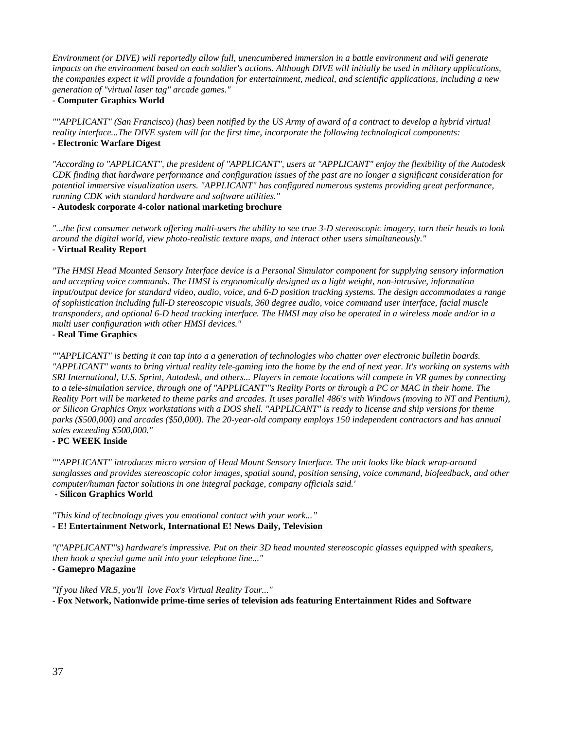*Environment (or DIVE) will reportedly allow full, unencumbered immersion in a battle environment and will generate impacts on the environment based on each soldier's actions. Although DIVE will initially be used in military applications, the companies expect it will provide a foundation for entertainment, medical, and scientific applications, including a new generation of "virtual laser tag" arcade games."*

### **- Computer Graphics World**

*""APPLICANT" (San Francisco) (has) been notified by the US Army of award of a contract to develop a hybrid virtual reality interface...The DIVE system will for the first time, incorporate the following technological components:* **- Electronic Warfare Digest**

*"According to "APPLICANT", the president of "APPLICANT", users at "APPLICANT" enjoy the flexibility of the Autodesk CDK finding that hardware performance and configuration issues of the past are no longer a significant consideration for potential immersive visualization users. "APPLICANT" has configured numerous systems providing great performance, running CDK with standard hardware and software utilities."*

**- Autodesk corporate 4-color national marketing brochure**

*"...the first consumer network offering multi-users the ability to see true 3-D stereoscopic imagery, turn their heads to look around the digital world, view photo-realistic texture maps, and interact other users simultaneously."* **- Virtual Reality Report**

*"The HMSI Head Mounted Sensory Interface device is a Personal Simulator component for supplying sensory information and accepting voice commands. The HMSI is ergonomically designed as a light weight, non-intrusive, information input/output device for standard video, audio, voice, and 6-D position tracking systems. The design accommodates a range of sophistication including full-D stereoscopic visuals, 360 degree audio, voice command user interface, facial muscle transponders, and optional 6-D head tracking interface. The HMSI may also be operated in a wireless mode and/or in a multi user configuration with other HMSI devices."*

### **- Real Time Graphics**

*""APPLICANT" is betting it can tap into a a generation of technologies who chatter over electronic bulletin boards. "APPLICANT" wants to bring virtual reality tele-gaming into the home by the end of next year. It's working on systems with SRI International, U.S. Sprint, Autodesk, and others... Players in remote locations will compete in VR games by connecting*  to a tele-simulation service, through one of "APPLICANT"'s Reality Ports or through a PC or MAC in their home. The *Reality Port will be marketed to theme parks and arcades. It uses parallel 486's with Windows (moving to NT and Pentium), or Silicon Graphics Onyx workstations with a DOS shell. "APPLICANT" is ready to license and ship versions for theme parks (\$500,000) and arcades (\$50,000). The 20-year-old company employs 150 independent contractors and has annual sales exceeding \$500,000."*

### **- PC WEEK Inside**

*""APPLICANT" introduces micro version of Head Mount Sensory Interface. The unit looks like black wrap-around sunglasses and provides stereoscopic color images, spatial sound, position sensing, voice command, biofeedback, and other computer/human factor solutions in one integral package, company officials said.'*

### **- Silicon Graphics World**

*"This kind of technology gives you emotional contact with your work..."* **- E! Entertainment Network, International E! News Daily, Television**

*"("APPLICANT"'s) hardware's impressive. Put on their 3D head mounted stereoscopic glasses equipped with speakers, then hook a special game unit into your telephone line..."*

**- Gamepro Magazine**

*"If you liked VR.5, you'll love Fox's Virtual Reality Tour..."* **- Fox Network, Nationwide prime-time series of television ads featuring Entertainment Rides and Software**